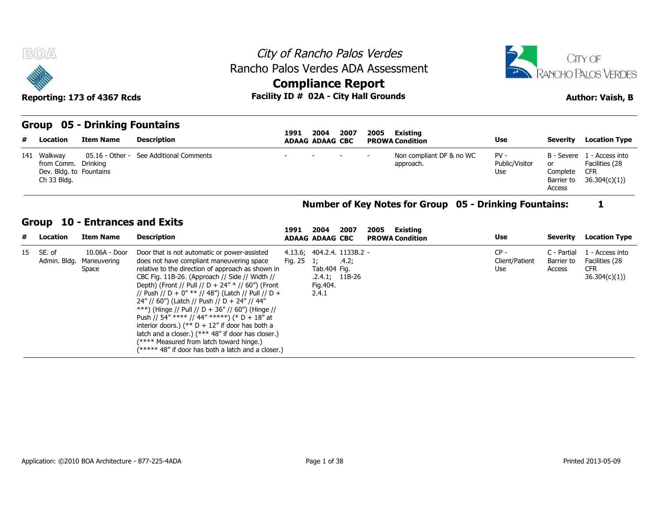



# **Compliance Report**

| <b>BOA</b>                                                                   | Reporting: 173 of 4367 Rcds                              |                                         | Rancho Palos Verdes ADA Assessment<br>Facility ID # 02A - City Hall Grounds | <b>Compliance Report</b> |                                |      | City of Rancho Palos Verdes |                                       |                                 |                                        | CITY OF<br>RANCHO PALOS VERDES<br><b>Author: Vaish, B</b>                  |
|------------------------------------------------------------------------------|----------------------------------------------------------|-----------------------------------------|-----------------------------------------------------------------------------|--------------------------|--------------------------------|------|-----------------------------|---------------------------------------|---------------------------------|----------------------------------------|----------------------------------------------------------------------------|
| # Location                                                                   | <b>Group 05 - Drinking Fountains</b><br><b>Item Name</b> | <b>Description</b>                      |                                                                             | 1991                     | 2004<br><b>ADAAG ADAAG CBC</b> | 2007 | 2005                        | Existing<br><b>PROWA Condition</b>    | Use                             | Severity                               | <b>Location Type</b>                                                       |
| 141 Walkway<br>from Comm. Drinking<br>Dev. Bldg. to Fountains<br>Ch 33 Bldg. |                                                          | 05.16 - Other - See Additional Comments |                                                                             |                          |                                |      |                             | Non compliant DF & no WC<br>approach. | $PV -$<br>Public/Visitor<br>Use | or<br>Complete<br>Barrier to<br>Access | B - Severe 1 - Access into<br>Facilities (28<br><b>CFR</b><br>36.304(c)(1) |

#### **Number of Key Notes for Group 05 - Drinking Fountains: 1**

#### **Group 10 - Entrances and Exits**

| # Location                | <b>Item Name</b>                      | <b>Description</b>                                                                                                                                                                                                                                                                                                                                                                                                                                                                                                                                                                                                                                                               | 1991                | 2004<br><b>ADAAG ADAAG CBC</b>                                                      | 2007  | 2005 | Existing<br><b>PROWA Condition</b> | Use                             | Severity                            | <b>Location Type</b>                                            |
|---------------------------|---------------------------------------|----------------------------------------------------------------------------------------------------------------------------------------------------------------------------------------------------------------------------------------------------------------------------------------------------------------------------------------------------------------------------------------------------------------------------------------------------------------------------------------------------------------------------------------------------------------------------------------------------------------------------------------------------------------------------------|---------------------|-------------------------------------------------------------------------------------|-------|------|------------------------------------|---------------------------------|-------------------------------------|-----------------------------------------------------------------|
| 15 SE. of<br>Admin. Bldg. | 10.06A - Door<br>Maneuvering<br>Space | Door that is not automatic or power-assisted<br>does not have compliant maneuvering space<br>relative to the direction of approach as shown in<br>CBC Fig. 11B-26. (Approach // Side // Width //<br>Depth) (Front // Pull // D + 24" * // 60") (Front<br>// Push // D + 0" ** // 48") (Latch // Pull // D +<br>$24''$ // 60") (Latch // Push // D + 24" // 44"<br>***) (Hinge // Pull // D + 36" // 60") (Hinge //<br>Push // 54" **** // 44" *****) (* D + 18" at<br>interior doors.) (** $D + 12$ " if door has both a<br>latch and a closer.) (*** 48" if door has closer.)<br>(**** Measured from latch toward hinge.)<br>(***** 48" if door has both a latch and a closer.) | Fig. $25 \quad 1$ ; | 4.13.6; 404.2.4. 1133B.2 -<br>Tab.404 Fig.<br>$.2.4.1;$ 11B-26<br>Fig.404.<br>2.4.1 | .4.2; |      |                                    | $CP -$<br>Client/Patient<br>Use | C - Partial<br>Barrier to<br>Access | l - Access into<br>Facilities (28<br><b>CFR</b><br>36.304(c)(1) |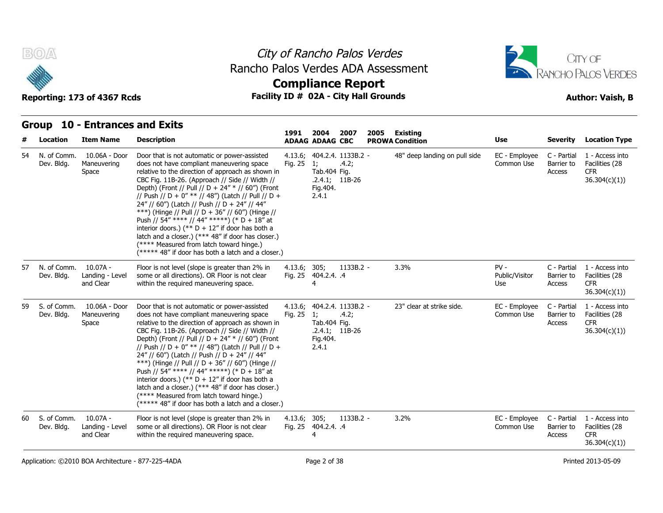



#### Reporting: 173 of 4367 Rcds **Facility ID # 02A - City Hall Grounds Author: Vaish, B Compliance Report**

#### **Group 10 - Entrances and Exits Item Name Description 1991 ADAAG 2004 ADAAG CBC PROWA 2007 2005 Existing # Location Condition Use Severity Location Type** 10.06A - Door Dev. Bldg. Maneuvering does not Space The relative to the direction of approach as shown in Tal Door that is not automatic or power-assisted 4.13.6: does not have compliant maneuvering space Fig. 25 1; CBC Fig. 11B-26. (Approach // Side // Width // Depth) (Front // Pull // D + 24" \* // 60") (Front // Push // D + 0" \*\* // 48") (Latch // Pull // D + 24" // 60") (Latch // Push // D + 24" // 44" \*\*\*) (Hinge // Pull // D + 36" // 60") (Hinge // Push // 54" \*\*\*\* // 44" \*\*\*\*\*) (\* D + 18" at interior doors.) (\*\*  $D + 12$ " if door has both a latch and a closer.) (\*\*\* 48" if door has closer.) (\*\*\*\* Measured from latch toward hinge.)  $(****$  48" if door has both a latch and a closer.) 4.13.6; 404.2.4. Fig. 25 1; .4.2; Tab.404 Fig. .2.4.1; 11B-26 Fig.404. 2.4.1 1133B.2 - 48" deep landing on pull side EC - Employee Common Use Barrier to C - Partial 1 - Access into Barrier to Facilities (28 Access CFR 36.304(c)(1)) 54 N. of Comm. 10.07A - 57 N. of Comm. Landing - Level and Clear Floor is not level (slope is greater than 2% in some or all directions). OR Floor is not clear within the required maneuvering space. 4.13.6; Fig. 25 404.2.4. 305; 1133B.2 4 .4 - 3.3% PV - Public/Visitor Barrier to Use Access C - Partial 1 - Access into Barrier to Facilities (28 CFR 36.304(c)(1)) Dev. Bldg. 10.06A - Door Maneuvering Space The relative to the direction of approach as shown in Tal Door that is not automatic or power-assisted does not have compliant maneuvering space CBC Fig. 11B-26. (Approach // Side // Width // Depth) (Front // Pull // D + 24" \* // 60") (Front // Push // D + 0" \*\* // 48") (Latch // Pull // D + 24" // 60") (Latch // Push // D + 24" // 44" \*\*\*) (Hinge // Pull // D + 36" // 60") (Hinge // Push // 54" \*\*\*\* // 44" \*\*\*\*\*) (\* D + 18" at interior doors.) (\*\*  $D + 12$ " if door has both a latch and a closer.) (\*\*\* 48" if door has closer.) (\*\*\*\* Measured from latch toward hinge.) (\*\*\*\*\* 48" if door has both a latch and a closer.) 4.13.6; 404.2.4. Fig. 25 1; .4.2; Tab.404 Fig. .2.4.1; 11B-26 Fig.404. 2.4.1 1133B.2 - 23" clear at strike side. 
and EC - Employee C - Partial Common Use C - Partial 1 - Access into Barrier to Facilities (28 Access CFR 36.304(c)(1)) 59 S. of Comm. Dev. Bldg. 10.07A - Landing - Level and Clear Floor is not level (slope is greater than 2% in some or all directions). OR Floor is not clear Fig. 25 within the required maneuvering space. 4.13.6; 305; Fig. 25 404.2.4. 305; 1133B.2 4 .4 3.2% EC - Employee C - Partial Common Use C - Partial 1 - Access into Barrier to Facilities (28 Access CFR 36.304(c)(1)) 60 S. of Comm. Dev. Bldg.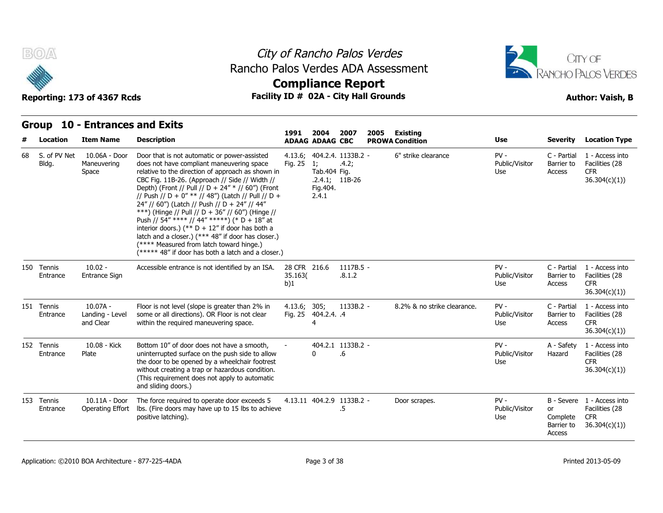

### City of Rancho Palos Verdes **Compliance Report** Rancho Palos Verdes ADA Assessment



Reporting: 173 of 4367 Rcds **Facility ID # 02A - City Hall Grounds Reporting: 173 of 4367 Rcds Author: Vaish, B** 

#### **Group 10 - Entrances and Exits**

|    |                        |                                            |                                                                                                                                                                                                                                                                                                                                                                                                                                                                                                                                                                                                                                                                               | 1991                           | 2004                                     | 2007                                                    | 2005 | <b>Existing</b>             |                                 |                                               |                                                                            |
|----|------------------------|--------------------------------------------|-------------------------------------------------------------------------------------------------------------------------------------------------------------------------------------------------------------------------------------------------------------------------------------------------------------------------------------------------------------------------------------------------------------------------------------------------------------------------------------------------------------------------------------------------------------------------------------------------------------------------------------------------------------------------------|--------------------------------|------------------------------------------|---------------------------------------------------------|------|-----------------------------|---------------------------------|-----------------------------------------------|----------------------------------------------------------------------------|
| #  | <b>Location</b>        | <b>Item Name</b>                           | <b>Description</b>                                                                                                                                                                                                                                                                                                                                                                                                                                                                                                                                                                                                                                                            |                                | <b>ADAAG ADAAG CBC</b>                   |                                                         |      | <b>PROWA Condition</b>      | <b>Use</b>                      | <b>Severity</b>                               | <b>Location Type</b>                                                       |
| 68 | S. of PV Net<br>Bldg.  | 10.06A - Door<br>Maneuvering<br>Space      | Door that is not automatic or power-assisted<br>does not have compliant maneuvering space<br>relative to the direction of approach as shown in<br>CBC Fig. 11B-26. (Approach // Side // Width //<br>Depth) (Front // Pull // D + 24" * // 60") (Front<br>// Push // D + 0" ** // 48") (Latch // Pull // D +<br>24" // 60") (Latch // Push // D + 24" // 44"<br>***) (Hinge // Pull // D + 36" // 60") (Hinge //<br>Push // 54" **** // 44" *****) (* D + 18" at<br>interior doors.) (** $D + 12$ " if door has both a<br>latch and a closer.) (*** 48" if door has closer.)<br>(**** Measured from latch toward hinge.)<br>(***** 48" if door has both a latch and a closer.) | Fig. 25                        | 1:<br>Tab.404 Fig.<br>Fig. 404.<br>2.4.1 | 4.13.6; 404.2.4. 1133B.2 -<br>.4.2;<br>$.2.4.1; 11B-26$ |      | 6" strike clearance         | $PV -$<br>Public/Visitor<br>Use | C - Partial<br>Barrier to<br>Access           | 1 - Access into<br>Facilities (28<br><b>CFR</b><br>36.304(c)(1)            |
|    | 150 Tennis<br>Entrance | $10.02 -$<br>Entrance Sign                 | Accessible entrance is not identified by an ISA.                                                                                                                                                                                                                                                                                                                                                                                                                                                                                                                                                                                                                              | 28 CFR 216.6<br>35.163(<br>b)1 |                                          | $1117B.5 -$<br>.8.1.2                                   |      |                             | $PV -$<br>Public/Visitor<br>Use | C - Partial<br>Barrier to<br>Access           | 1 - Access into<br>Facilities (28<br><b>CFR</b><br>36.304(c)(1))           |
|    | 151 Tennis<br>Entrance | $10.07A -$<br>Landing - Level<br>and Clear | Floor is not level (slope is greater than 2% in<br>some or all directions). OR Floor is not clear<br>within the required maneuvering space.                                                                                                                                                                                                                                                                                                                                                                                                                                                                                                                                   | 4.13.6; 305;                   | Fig. 25 404.2.4. .4<br>4                 | $1133B.2 -$                                             |      | 8.2% & no strike clearance. | $PV -$<br>Public/Visitor<br>Use | C - Partial<br>Barrier to<br>Access           | 1 - Access into<br>Facilities (28<br><b>CFR</b><br>36.304(c)(1)            |
|    | 152 Tennis<br>Entrance | 10.08 - Kick<br>Plate                      | Bottom 10" of door does not have a smooth,<br>uninterrupted surface on the push side to allow<br>the door to be opened by a wheelchair footrest<br>without creating a trap or hazardous condition.<br>(This requirement does not apply to automatic<br>and sliding doors.)                                                                                                                                                                                                                                                                                                                                                                                                    |                                | 0                                        | 404.2.1 1133B.2 -<br>.6                                 |      |                             | $PV -$<br>Public/Visitor<br>Use | A - Safety<br>Hazard                          | 1 - Access into<br>Facilities (28<br><b>CFR</b><br>36.304(c)(1)            |
|    | 153 Tennis<br>Entrance | $10.11A - Door$<br>Operating Effort        | The force required to operate door exceeds 5<br>lbs. (Fire doors may have up to 15 lbs to achieve<br>positive latching).                                                                                                                                                                                                                                                                                                                                                                                                                                                                                                                                                      |                                |                                          | 4.13.11 404.2.9 1133B.2 -<br>.5                         |      | Door scrapes.               | $PV -$<br>Public/Visitor<br>Use | <b>or</b><br>Complete<br>Barrier to<br>Access | B - Severe 1 - Access into<br>Facilities (28<br><b>CFR</b><br>36.304(c)(1) |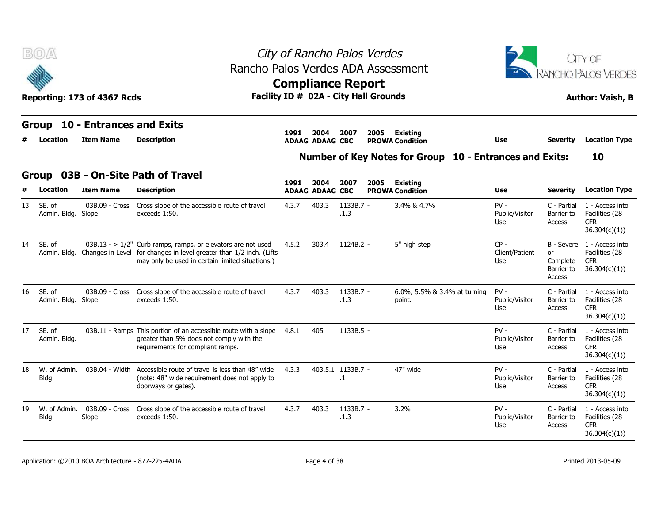|    | B(0)                         | Reporting: 173 of 4367 Rcds                  | Rancho Palos Verdes ADA Assessment<br>Facility ID # 02A - City Hall Grounds                                                                                                                | City of Rancho Palos Verdes<br><b>Compliance Report</b> |                                |                                |      |                                                         |                                 |                                        | CITY OF<br>RANCHO PALOS VERDES<br><b>Author: Vaish, B</b>                  |
|----|------------------------------|----------------------------------------------|--------------------------------------------------------------------------------------------------------------------------------------------------------------------------------------------|---------------------------------------------------------|--------------------------------|--------------------------------|------|---------------------------------------------------------|---------------------------------|----------------------------------------|----------------------------------------------------------------------------|
|    | Group<br>Location            | 10 - Entrances and Exits<br><b>Item Name</b> | <b>Description</b>                                                                                                                                                                         | 1991                                                    | 2004<br><b>ADAAG ADAAG CBC</b> | 2007                           | 2005 | <b>Existing</b><br><b>PROWA Condition</b>               | Use                             | <b>Severity</b>                        | <b>Location Type</b>                                                       |
|    |                              |                                              |                                                                                                                                                                                            |                                                         |                                |                                |      | Number of Key Notes for Group 10 - Entrances and Exits: |                                 |                                        | 10                                                                         |
|    | Group<br>Location            | <b>Item Name</b>                             | 03B - On-Site Path of Travel<br><b>Description</b>                                                                                                                                         | 1991                                                    | 2004<br><b>ADAAG ADAAG CBC</b> | 2007                           | 2005 | <b>Existing</b><br><b>PROWA Condition</b>               | Use                             | <b>Severity</b>                        | <b>Location Type</b>                                                       |
| 13 | SE. of<br>Admin. Bldg. Slope | 03B.09 - Cross                               | Cross slope of the accessible route of travel<br>exceeds 1:50.                                                                                                                             | 4.3.7                                                   | 403.3                          | $1133B.7 -$<br>.1.3            |      | 3.4% & 4.7%                                             | $PV -$<br>Public/Visitor<br>Use | C - Partial<br>Barrier to<br>Access    | 1 - Access into<br>Facilities (28<br>CFR.<br>36.304(c)(1)                  |
| 14 | SE, of<br>Admin. Bldg.       |                                              | $03B.13 - > 1/2$ " Curb ramps, ramps, or elevators are not used<br>Changes in Level for changes in level greater than 1/2 inch. (Lifts<br>may only be used in certain limited situations.) | 4.5.2                                                   | 303.4                          | 1124B.2 -                      |      | 5" high step                                            | $CP -$<br>Client/Patient<br>Use | or<br>Complete<br>Barrier to<br>Access | B - Severe 1 - Access into<br>Facilities (28<br><b>CFR</b><br>36.304(c)(1) |
| 16 | SE. of<br>Admin. Bldg. Slope |                                              | 03B.09 - Cross Cross slope of the accessible route of travel<br>exceeds 1:50.                                                                                                              | 4.3.7                                                   | 403.3                          | $1133B.7 -$<br>.1.3            |      | 6.0%, 5.5% & 3.4% at turning<br>point.                  | $PV -$<br>Public/Visitor<br>Use | C - Partial<br>Barrier to<br>Access    | 1 - Access into<br>Facilities (28<br><b>CFR</b><br>36.304(c)(1))           |
| 17 | SE. of<br>Admin. Bldg.       |                                              | 03B.11 - Ramps This portion of an accessible route with a slope<br>greater than 5% does not comply with the<br>requirements for compliant ramps.                                           | 4.8.1                                                   | 405                            | $1133B.5 -$                    |      |                                                         | $PV -$<br>Public/Visitor<br>Use | C - Partial<br>Barrier to<br>Access    | 1 - Access into<br>Facilities (28<br><b>CFR</b><br>36.304(c)(1))           |
| 18 | W. of Admin.<br>Bldg.        | 03B.04 - Width                               | Accessible route of travel is less than 48" wide<br>(note: 48" wide requirement does not apply to<br>doorways or gates).                                                                   | 4.3.3                                                   |                                | 403.5.1 1133B.7 -<br>$\cdot$ 1 |      | 47" wide                                                | $PV -$<br>Public/Visitor<br>Use | C - Partial<br>Barrier to<br>Access    | 1 - Access into<br>Facilities (28<br><b>CFR</b><br>36.304(c)(1))           |
| 19 | W. of Admin.<br>Bldg.        | 03B.09 - Cross<br>Slope                      | Cross slope of the accessible route of travel<br>exceeds 1:50.                                                                                                                             | 4.3.7                                                   | 403.3                          | $1133B.7 -$<br>.1.3            |      | 3.2%                                                    | $PV -$<br>Public/Visitor<br>Use | C - Partial<br>Barrier to<br>Access    | 1 - Access into<br>Facilities (28<br><b>CFR</b><br>36.304(c)(1))           |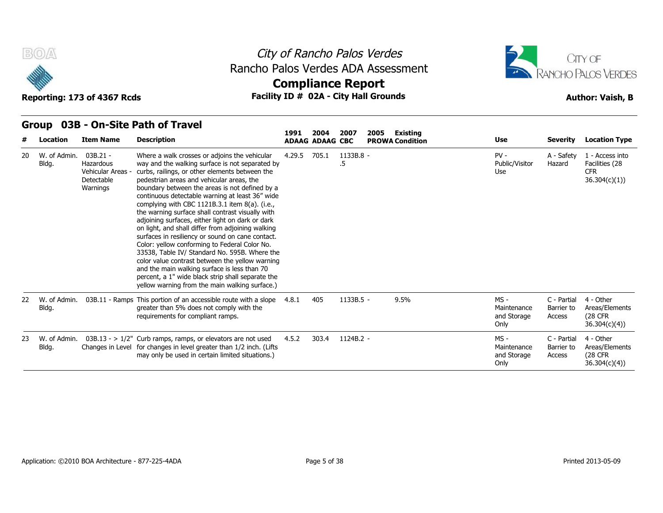



Reporting: 173 of 4367 Rcds **Facility ID # 02A - City Hall Grounds Reporting: 173 of 4367 Rcds Author: Vaish, B** 



#### **Group 03B - On-Site Path of Travel**

| #  | Location              | <b>Item Name</b>                                                   | <b>Description</b>                                                                                                                                                                                                                                                                                                                                                                                                                                                                                                                                                                                                                                                                                                                                                                                                                                                                  | 1991   | 2004<br><b>ADAAG ADAAG CBC</b> | 2007            | 2005<br><b>Existing</b><br><b>PROWA Condition</b> | <b>Use</b>                                   | <b>Severity</b>                     | <b>Location Type</b>                                            |
|----|-----------------------|--------------------------------------------------------------------|-------------------------------------------------------------------------------------------------------------------------------------------------------------------------------------------------------------------------------------------------------------------------------------------------------------------------------------------------------------------------------------------------------------------------------------------------------------------------------------------------------------------------------------------------------------------------------------------------------------------------------------------------------------------------------------------------------------------------------------------------------------------------------------------------------------------------------------------------------------------------------------|--------|--------------------------------|-----------------|---------------------------------------------------|----------------------------------------------|-------------------------------------|-----------------------------------------------------------------|
| 20 | W. of Admin.<br>Bldg. | 03B.21 -<br>Hazardous<br>Vehicular Areas<br>Detectable<br>Warnings | Where a walk crosses or adjoins the vehicular<br>way and the walking surface is not separated by<br>curbs, railings, or other elements between the<br>pedestrian areas and vehicular areas, the<br>boundary between the areas is not defined by a<br>continuous detectable warning at least 36" wide<br>complying with CBC 1121B.3.1 item 8(a). (i.e.,<br>the warning surface shall contrast visually with<br>adjoining surfaces, either light on dark or dark<br>on light, and shall differ from adjoining walking<br>surfaces in resiliency or sound on cane contact.<br>Color: yellow conforming to Federal Color No.<br>33538, Table IV/ Standard No. 595B. Where the<br>color value contrast between the yellow warning<br>and the main walking surface is less than 70<br>percent, a 1" wide black strip shall separate the<br>yellow warning from the main walking surface.) | 4.29.5 | 705.1                          | 1133B.8 -<br>.5 |                                                   | $PV -$<br>Public/Visitor<br>Use              | A - Safety<br>Hazard                | 1 - Access into<br>Facilities (28<br><b>CFR</b><br>36.304(c)(1) |
| 22 | W. of Admin.<br>Bldg. |                                                                    | 03B.11 - Ramps This portion of an accessible route with a slope<br>greater than 5% does not comply with the<br>requirements for compliant ramps.                                                                                                                                                                                                                                                                                                                                                                                                                                                                                                                                                                                                                                                                                                                                    | 4.8.1  | 405                            | 1133B.5 -       | 9.5%                                              | MS -<br>Maintenance<br>and Storage<br>Only   | C - Partial<br>Barrier to<br>Access | 4 - Other<br>Areas/Elements<br>(28 CFR)<br>36.304(c)(4)         |
| 23 | W. of Admin.<br>Bldg. | Changes in Level                                                   | $03B.13 - 1/2$ " Curb ramps, ramps, or elevators are not used<br>for changes in level greater than 1/2 inch. (Lifts<br>may only be used in certain limited situations.)                                                                                                                                                                                                                                                                                                                                                                                                                                                                                                                                                                                                                                                                                                             | 4.5.2  | 303.4                          | 1124B.2 -       |                                                   | $MS -$<br>Maintenance<br>and Storage<br>Only | C - Partial<br>Barrier to<br>Access | 4 - Other<br>Areas/Elements<br>(28 CFR)<br>36.304(c)(4)         |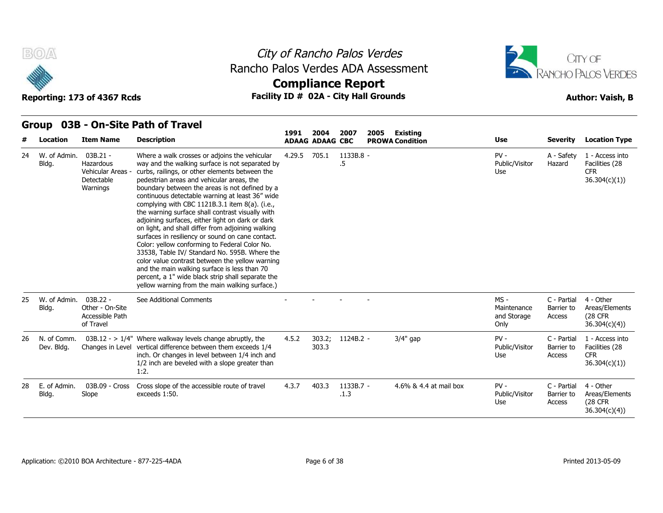



#### Reporting: 173 of 4367 Rcds **Facility ID # 02A - City Hall Grounds Author: Vaish, B Compliance Report**

#### **Group 03B - On-Site Path of Travel Item Name Description 1991 ADAAG 2004 ADAAG CBC PROWA 2007 2005 Existing # Location Condition Use Severity Location Type** 03B.21 - **Hazardous** Vehicular Areas - curbs, railings, or other elements between the **Detectable** Warnings boundary between the areas is not defined by a Where a walk crosses or adjoins the vehicular way and the walking surface is not separated by pedestrian areas and vehicular areas, the continuous detectable warning at least 36" wide complying with CBC 1121B.3.1 item 8(a). (i.e., the warning surface shall contrast visually with adjoining surfaces, either light on dark or dark on light, and shall differ from adjoining walking surfaces in resiliency or sound on cane contact. Color: yellow conforming to Federal Color No. 33538, Table IV/ Standard No. 595B. Where the color value contrast between the yellow warning and the main walking surface is less than 70 percent, a 1" wide black strip shall separate the yellow warning from the main walking surface.) 4.29.5 705.1 1133B.8 .5 - PV - Public/Visitor Hazard Use A - Safety 1 - Access into Hazard Facilities (28 CFR 36.304(c)(1)) 24 W. of Admin. Bldg. 03B.22 - Other - On-Site Accessible Path of Travel See Additional Comments **- -** - - - - - - - - MS - C - Partial Maintenance Barrier to and Storage Access Only C - Partial 4 - Other Barrier to Areas/Elements Access (28 CFR 36.304(c)(4)) 25 W. of Admin. Bldg.  $03B.12 - > 1/4$ " Where walkway levels change abruptly, the 4.5.2 Changes in Level vertical difference between them exceeds 1/4 inch. Or changes in level between 1/4 inch and 1/2 inch are beveled with a slope greater than 1:2. 4.5.2 303.2; 303.3 MS -<br>
MS -<br>
Maintenance<br>
and Storage<br>
Only<br>
1124B.2 - 3/4" gap<br>
2010<br>
PV - Public/Visitor<br>
Use Public/Visitor Barrier to Use Access C - Partial 1 - Access into Barrier to Facilities (28 CFR 36.304(c)(1)) 26 N. of Comm. Dev. Bldg. 03B.09 - Cross Slope exceeds 1:50. Cross slope of the accessible route of travel 4.3.7 403.3 1133B.7 - 4.6% & 4.4 at mail box PV - .1.3 Public/Visitor Barrier to Use Access C - Partial Barrier to Areas/Elements Access (28 CFR 4 - Other 36.304(c)(4)) 28 E. of Admin. Bldg. Slope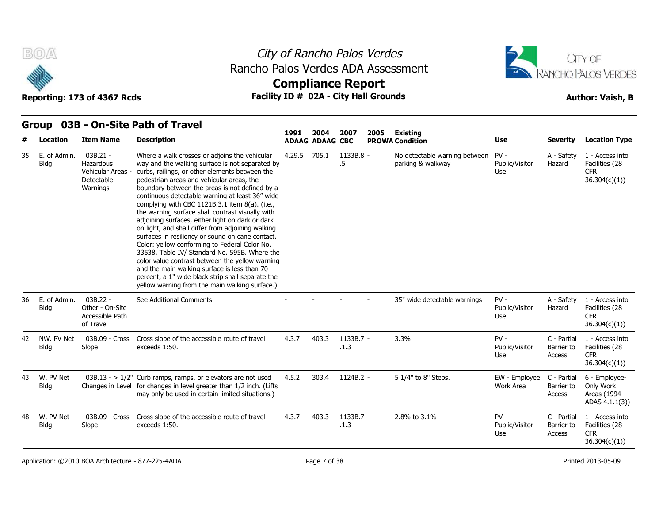





|  |  |  | Group 03B - On-Site Path of Travel |  |
|--|--|--|------------------------------------|--|
|--|--|--|------------------------------------|--|

| #  | Location              | <b>Item Name</b>                                                     | <b>Description</b>                                                                                                                                                                                                                                                                                                                                                                                                                                                                                                                                                                                                                                                                                                                                                                                                                                                                  | 1991   | 2004<br><b>ADAAG ADAAG CBC</b> | 2007              | 2005 | <b>Existing</b><br><b>PROWA Condition</b>          | <b>Use</b>                      | <b>Severity</b>                     | <b>Location Type</b>                                             |
|----|-----------------------|----------------------------------------------------------------------|-------------------------------------------------------------------------------------------------------------------------------------------------------------------------------------------------------------------------------------------------------------------------------------------------------------------------------------------------------------------------------------------------------------------------------------------------------------------------------------------------------------------------------------------------------------------------------------------------------------------------------------------------------------------------------------------------------------------------------------------------------------------------------------------------------------------------------------------------------------------------------------|--------|--------------------------------|-------------------|------|----------------------------------------------------|---------------------------------|-------------------------------------|------------------------------------------------------------------|
| 35 | E. of Admin.<br>Bldg. | $03B.21 -$<br>Hazardous<br>Vehicular Areas<br>Detectable<br>Warnings | Where a walk crosses or adjoins the vehicular<br>way and the walking surface is not separated by<br>curbs, railings, or other elements between the<br>pedestrian areas and vehicular areas, the<br>boundary between the areas is not defined by a<br>continuous detectable warning at least 36" wide<br>complying with CBC 1121B.3.1 item 8(a). (i.e.,<br>the warning surface shall contrast visually with<br>adjoining surfaces, either light on dark or dark<br>on light, and shall differ from adjoining walking<br>surfaces in resiliency or sound on cane contact.<br>Color: yellow conforming to Federal Color No.<br>33538, Table IV/ Standard No. 595B. Where the<br>color value contrast between the yellow warning<br>and the main walking surface is less than 70<br>percent, a 1" wide black strip shall separate the<br>yellow warning from the main walking surface.) | 4.29.5 | 705.1                          | 1133B.8 -<br>.5   |      | No detectable warning between<br>parking & walkway | $PV -$<br>Public/Visitor<br>Use | A - Safety<br>Hazard                | 1 - Access into<br>Facilities (28<br><b>CFR</b><br>36.304(c)(1)) |
| 36 | E. of Admin.<br>Bldg. | 03B.22 -<br>Other - On-Site<br>Accessible Path<br>of Travel          | See Additional Comments                                                                                                                                                                                                                                                                                                                                                                                                                                                                                                                                                                                                                                                                                                                                                                                                                                                             |        |                                |                   |      | 35" wide detectable warnings                       | $PV -$<br>Public/Visitor<br>Use | A - Safety<br>Hazard                | 1 - Access into<br>Facilities (28<br><b>CFR</b><br>36.304(c)(1)  |
| 42 | NW. PV Net<br>Bldg.   | 03B.09 - Cross<br>Slope                                              | Cross slope of the accessible route of travel<br>exceeds 1:50.                                                                                                                                                                                                                                                                                                                                                                                                                                                                                                                                                                                                                                                                                                                                                                                                                      | 4.3.7  | 403.3                          | 1133B.7 -<br>.1.3 |      | 3.3%                                               | $PV -$<br>Public/Visitor<br>Use | C - Partial<br>Barrier to<br>Access | 1 - Access into<br>Facilities (28<br><b>CFR</b><br>36.304(c)(1)  |
| 43 | W. PV Net<br>Bldg.    |                                                                      | $03B.13 - 1/2$ " Curb ramps, ramps, or elevators are not used<br>Changes in Level for changes in level greater than 1/2 inch. (Lifts<br>may only be used in certain limited situations.)                                                                                                                                                                                                                                                                                                                                                                                                                                                                                                                                                                                                                                                                                            | 4.5.2  | 303.4                          | 1124B.2 -         |      | 5 1/4" to 8" Steps.                                | EW - Employee<br>Work Area      | C - Partial<br>Barrier to<br>Access | 6 - Employee-<br>Only Work<br>Areas (1994<br>ADAS 4.1.1(3))      |
| 48 | W. PV Net<br>Bldg.    | 03B.09 - Cross<br>Slope                                              | Cross slope of the accessible route of travel<br>exceeds 1:50.                                                                                                                                                                                                                                                                                                                                                                                                                                                                                                                                                                                                                                                                                                                                                                                                                      | 4.3.7  | 403.3                          | 1133B.7 -<br>.1.3 |      | 2.8% to 3.1%                                       | $PV -$<br>Public/Visitor<br>Use | C - Partial<br>Barrier to<br>Access | 1 - Access into<br>Facilities (28<br><b>CFR</b><br>36.304(c)(1)  |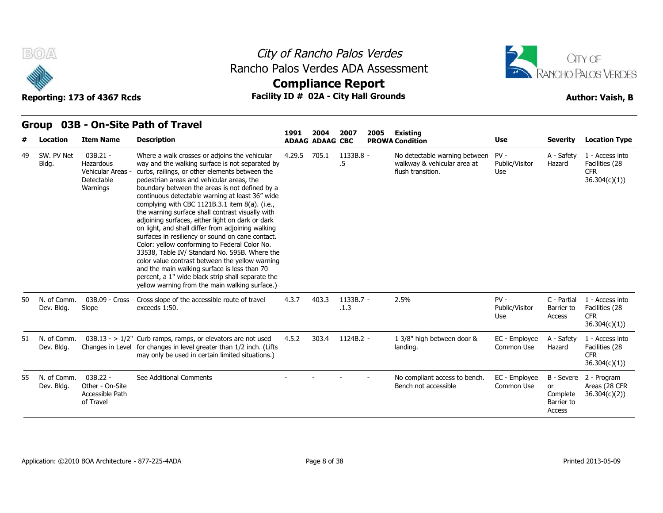

### City of Rancho Palos Verdes **Compliance Report** Rancho Palos Verdes ADA Assessment



#### Reporting: 173 of 4367 Rcds **Facility ID # 02A - City Hall Grounds Reporting: 173 of 4367 Rcds Author: Vaish, B**

**Group 03B - On-Site Path of Travel**

|     |                           |                                                                        |                                                                                                                                                                                                                                                                                                                                                                                                                                                                                                                                                                                                                                                                                                                                                                                                                                                                                     | 1991   | 2004                   | 2007              | 2005 | <b>Existing</b>                                                                   |                                 |                                                      |                                                                 |
|-----|---------------------------|------------------------------------------------------------------------|-------------------------------------------------------------------------------------------------------------------------------------------------------------------------------------------------------------------------------------------------------------------------------------------------------------------------------------------------------------------------------------------------------------------------------------------------------------------------------------------------------------------------------------------------------------------------------------------------------------------------------------------------------------------------------------------------------------------------------------------------------------------------------------------------------------------------------------------------------------------------------------|--------|------------------------|-------------------|------|-----------------------------------------------------------------------------------|---------------------------------|------------------------------------------------------|-----------------------------------------------------------------|
|     | Location                  | <b>Item Name</b>                                                       | <b>Description</b>                                                                                                                                                                                                                                                                                                                                                                                                                                                                                                                                                                                                                                                                                                                                                                                                                                                                  |        | <b>ADAAG ADAAG CBC</b> |                   |      | <b>PROWA Condition</b>                                                            | <b>Use</b>                      | <b>Severity</b>                                      | <b>Location Type</b>                                            |
| 49  | SW. PV Net<br>Bldg.       | $03B.21 -$<br>Hazardous<br>Vehicular Areas -<br>Detectable<br>Warnings | Where a walk crosses or adjoins the vehicular<br>way and the walking surface is not separated by<br>curbs, railings, or other elements between the<br>pedestrian areas and vehicular areas, the<br>boundary between the areas is not defined by a<br>continuous detectable warning at least 36" wide<br>complying with CBC 1121B.3.1 item 8(a). (i.e.,<br>the warning surface shall contrast visually with<br>adjoining surfaces, either light on dark or dark<br>on light, and shall differ from adjoining walking<br>surfaces in resiliency or sound on cane contact.<br>Color: yellow conforming to Federal Color No.<br>33538, Table IV/ Standard No. 595B. Where the<br>color value contrast between the yellow warning<br>and the main walking surface is less than 70<br>percent, a 1" wide black strip shall separate the<br>yellow warning from the main walking surface.) | 4.29.5 | 705.1                  | 1133B.8 -<br>.5   |      | No detectable warning between<br>walkway & vehicular area at<br>flush transition. | $PV -$<br>Public/Visitor<br>Use | A - Safety<br>Hazard                                 | 1 - Access into<br>Facilities (28<br><b>CFR</b><br>36.304(c)(1) |
| 50  | N. of Comm.<br>Dev. Bldg. | 03B.09 - Cross<br>Slope                                                | Cross slope of the accessible route of travel<br>exceeds 1:50.                                                                                                                                                                                                                                                                                                                                                                                                                                                                                                                                                                                                                                                                                                                                                                                                                      | 4.3.7  | 403.3                  | 1133B.7 -<br>.1.3 |      | 2.5%                                                                              | $PV -$<br>Public/Visitor<br>Use | C - Partial<br>Barrier to<br>Access                  | 1 - Access into<br>Facilities (28<br><b>CFR</b><br>36.304(c)(1) |
| 51. | N. of Comm.<br>Dev. Bldg. |                                                                        | $03B.13 - 1/2$ " Curb ramps, ramps, or elevators are not used<br>Changes in Level for changes in level greater than 1/2 inch. (Lifts<br>may only be used in certain limited situations.)                                                                                                                                                                                                                                                                                                                                                                                                                                                                                                                                                                                                                                                                                            | 4.5.2  | 303.4                  | 1124B.2 -         |      | 1 3/8" high between door &<br>landing.                                            | EC - Employee<br>Common Use     | A - Safety<br>Hazard                                 | 1 - Access into<br>Facilities (28<br><b>CFR</b><br>36.304(c)(1) |
|     | N. of Comm.<br>Dev. Bldg. | $03B.22 -$<br>Other - On-Site<br>Accessible Path<br>of Travel          | See Additional Comments                                                                                                                                                                                                                                                                                                                                                                                                                                                                                                                                                                                                                                                                                                                                                                                                                                                             |        |                        |                   |      | No compliant access to bench.<br>Bench not accessible                             | EC - Employee<br>Common Use     | B - Severe<br>or<br>Complete<br>Barrier to<br>Access | 2 - Program<br>Areas (28 CFR<br>36.304(c)(2)                    |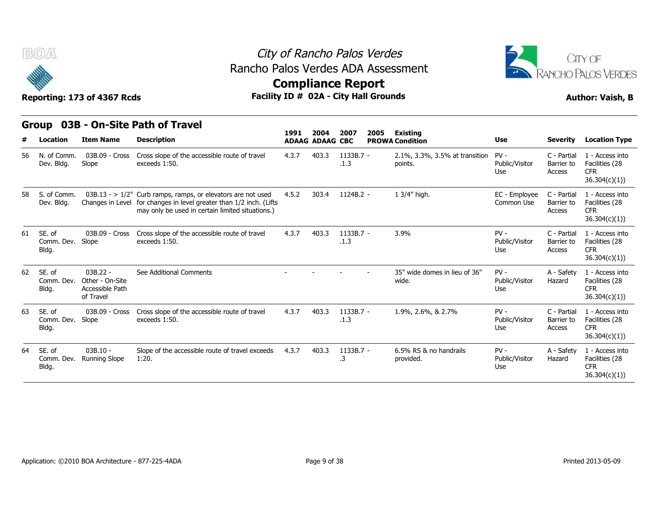



## **Compliance Report**

|    | ÷                             | Reporting: 173 of 4367 Rcds                                   |                                                                                                                                                                                          | <b>ARTIBURGE ISPAIR</b><br>Facility ID # 02A - City Hall Grounds |                        |                     |      |                                           |                                 |                                     | <b>Author: Vaish, B</b>                                          |
|----|-------------------------------|---------------------------------------------------------------|------------------------------------------------------------------------------------------------------------------------------------------------------------------------------------------|------------------------------------------------------------------|------------------------|---------------------|------|-------------------------------------------|---------------------------------|-------------------------------------|------------------------------------------------------------------|
|    |                               |                                                               | Group 03B - On-Site Path of Travel                                                                                                                                                       | 1991                                                             | 2004                   | 2007                | 2005 | Existing                                  |                                 |                                     |                                                                  |
| #  | Location                      | <b>Item Name</b>                                              | <b>Description</b>                                                                                                                                                                       |                                                                  | <b>ADAAG ADAAG CBC</b> |                     |      | <b>PROWA Condition</b>                    | <b>Use</b>                      | <b>Severity</b>                     | <b>Location Type</b>                                             |
| 56 | N. of Comm.<br>Dev. Bldg.     | 03B.09 - Cross<br>Slope                                       | Cross slope of the accessible route of travel<br>exceeds 1:50.                                                                                                                           | 4.3.7                                                            | 403.3                  | $1133B.7 -$<br>.1.3 |      | 2.1%, 3.3%, 3.5% at transition<br>points. | $PV -$<br>Public/Visitor<br>Use | C - Partial<br>Barrier to<br>Access | 1 - Access into<br>Facilities (28<br><b>CFR</b><br>36.304(c)(1)) |
| 58 | S. of Comm.<br>Dev. Bldg.     |                                                               | $03B.13 - 1/2$ " Curb ramps, ramps, or elevators are not used<br>Changes in Level for changes in level greater than 1/2 inch. (Lifts<br>may only be used in certain limited situations.) | 4.5.2                                                            | 303.4                  | 1124B.2 -           |      | 1 3/4" high.                              | EC - Employee<br>Common Use     | C - Partial<br>Barrier to<br>Access | 1 - Access into<br>Facilities (28<br><b>CFR</b><br>36.304(c)(1)) |
| 61 | SE, of<br>Comm. Dev.<br>Bldg. | 03B.09 - Cross<br>Slope                                       | Cross slope of the accessible route of travel<br>exceeds 1:50.                                                                                                                           | 4.3.7                                                            | 403.3                  | 1133B.7 -<br>.1.3   |      | 3.9%                                      | $PV -$<br>Public/Visitor<br>Use | C - Partial<br>Barrier to<br>Access | 1 - Access into<br>Facilities (28<br><b>CFR</b><br>36.304(c)(1)) |
| 62 | SE, of<br>Comm. Dev.<br>Bldg. | $03B.22 -$<br>Other - On-Site<br>Accessible Path<br>of Travel | See Additional Comments                                                                                                                                                                  |                                                                  |                        |                     |      | 35" wide domes in lieu of 36"<br>wide.    | $PV -$<br>Public/Visitor<br>Use | A - Safety<br>Hazard                | 1 - Access into<br>Facilities (28<br><b>CFR</b><br>36.304(c)(1)  |
| 63 | SE. of<br>Comm. Dev.<br>Bldg. | 03B.09 - Cross<br>Slope                                       | Cross slope of the accessible route of travel<br>exceeds 1:50.                                                                                                                           | 4.3.7                                                            | 403.3                  | 1133B.7 -<br>.1.3   |      | 1.9%, 2.6%, & 2.7%                        | $PV -$<br>Public/Visitor<br>Use | C - Partial<br>Barrier to<br>Access | 1 - Access into<br>Facilities (28<br><b>CFR</b><br>36.304(c)(1)) |
| 64 | SE. of<br>Comm. Dev.<br>Bldg. | $03B.10 -$<br><b>Running Slope</b>                            | Slope of the accessible route of travel exceeds<br>1:20.                                                                                                                                 | 4.3.7                                                            | 403.3                  | 1133B.7 -<br>.3     |      | 6.5% RS & no handrails<br>provided.       | $PV -$<br>Public/Visitor<br>Use | A - Safety<br>Hazard                | 1 - Access into<br>Facilities (28<br><b>CFR</b><br>36.304(c)(1)) |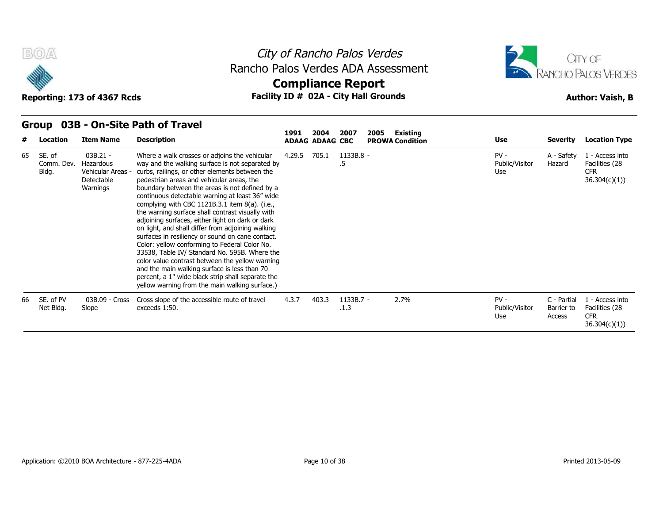



# **Compliance Report**

|    | Group                         |                                                                        | 03B - On-Site Path of Travel                                                                                                                                                                                                                                                                                                                                                                                                                                                                                                                                                                                                                                                                                                                                                                                                                                                           |        |                                | 2007              |      | Existing               |                                 |                                     |                                                                 |
|----|-------------------------------|------------------------------------------------------------------------|----------------------------------------------------------------------------------------------------------------------------------------------------------------------------------------------------------------------------------------------------------------------------------------------------------------------------------------------------------------------------------------------------------------------------------------------------------------------------------------------------------------------------------------------------------------------------------------------------------------------------------------------------------------------------------------------------------------------------------------------------------------------------------------------------------------------------------------------------------------------------------------|--------|--------------------------------|-------------------|------|------------------------|---------------------------------|-------------------------------------|-----------------------------------------------------------------|
| #  | Location                      | <b>Item Name</b>                                                       | <b>Description</b>                                                                                                                                                                                                                                                                                                                                                                                                                                                                                                                                                                                                                                                                                                                                                                                                                                                                     | 1991   | 2004<br><b>ADAAG ADAAG CBC</b> |                   | 2005 | <b>PROWA Condition</b> | Use                             | <b>Severity</b>                     | <b>Location Type</b>                                            |
| 65 | SE. of<br>Comm. Dev.<br>Bldg. | $03B.21 -$<br>Hazardous<br>Vehicular Areas -<br>Detectable<br>Warnings | Where a walk crosses or adjoins the vehicular<br>way and the walking surface is not separated by<br>curbs, railings, or other elements between the<br>pedestrian areas and vehicular areas, the<br>boundary between the areas is not defined by a<br>continuous detectable warning at least 36" wide<br>complying with CBC 1121B.3.1 item $8(a)$ . (i.e.,<br>the warning surface shall contrast visually with<br>adjoining surfaces, either light on dark or dark<br>on light, and shall differ from adjoining walking<br>surfaces in resiliency or sound on cane contact.<br>Color: yellow conforming to Federal Color No.<br>33538, Table IV/ Standard No. 595B. Where the<br>color value contrast between the yellow warning<br>and the main walking surface is less than 70<br>percent, a 1" wide black strip shall separate the<br>yellow warning from the main walking surface.) | 4.29.5 | 705.1                          | 1133B.8 -<br>.5   |      |                        | $PV -$<br>Public/Visitor<br>Use | A - Safety<br>Hazard                | 1 - Access into<br>Facilities (28<br><b>CFR</b><br>36.304(c)(1) |
|    | SE. of PV<br>Net Bldg.        | 03B.09 - Cross<br>Slope                                                | Cross slope of the accessible route of travel<br>exceeds 1:50.                                                                                                                                                                                                                                                                                                                                                                                                                                                                                                                                                                                                                                                                                                                                                                                                                         | 4.3.7  | 403.3                          | 1133B.7 -<br>.1.3 |      | 2.7%                   | $PV -$<br>Public/Visitor<br>Use | C - Partial<br>Barrier to<br>Access | 1 - Access into<br>Facilities (28<br><b>CFR</b><br>36.304(c)(1) |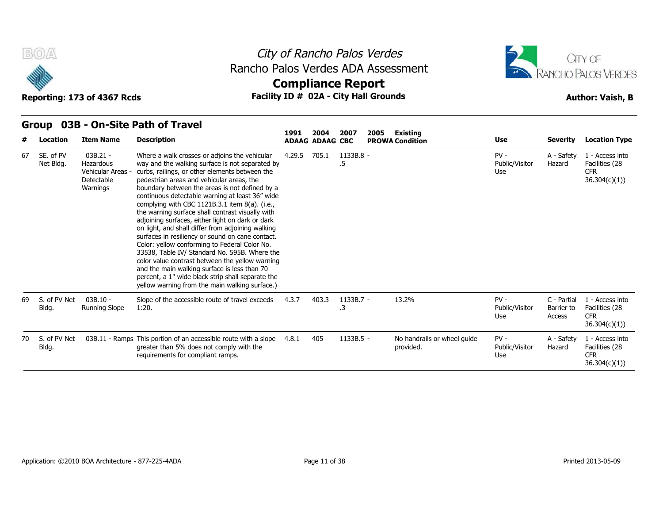

### City of Rancho Palos Verdes **Compliance Report** Rancho Palos Verdes ADA Assessment



Reporting: 173 of 4367 Rcds **Facility ID # 02A - City Hall Grounds Reporting: 173 of 4367 Rcds Author: Vaish, B** 

#### **Group 03B - On-Site Path of Travel**

| #  | Location               | <b>Item Name</b>                                                     | <b>Description</b>                                                                                                                                                                                                                                                                                                                                                                                                                                                                                                                                                                                                                                                                                                                                                                                                                                                                  | 1991   | 2004<br><b>ADAAG ADAAG CBC</b> | 2007            | Existing<br>2005<br><b>PROWA Condition</b> | <b>Use</b>                      | <b>Severity</b>                     | <b>Location Type</b>                                            |
|----|------------------------|----------------------------------------------------------------------|-------------------------------------------------------------------------------------------------------------------------------------------------------------------------------------------------------------------------------------------------------------------------------------------------------------------------------------------------------------------------------------------------------------------------------------------------------------------------------------------------------------------------------------------------------------------------------------------------------------------------------------------------------------------------------------------------------------------------------------------------------------------------------------------------------------------------------------------------------------------------------------|--------|--------------------------------|-----------------|--------------------------------------------|---------------------------------|-------------------------------------|-----------------------------------------------------------------|
| 67 | SE. of PV<br>Net Bldg. | $03B.21 -$<br>Hazardous<br>Vehicular Areas<br>Detectable<br>Warnings | Where a walk crosses or adjoins the vehicular<br>way and the walking surface is not separated by<br>curbs, railings, or other elements between the<br>pedestrian areas and vehicular areas, the<br>boundary between the areas is not defined by a<br>continuous detectable warning at least 36" wide<br>complying with CBC 1121B.3.1 item 8(a). (i.e.,<br>the warning surface shall contrast visually with<br>adjoining surfaces, either light on dark or dark<br>on light, and shall differ from adjoining walking<br>surfaces in resiliency or sound on cane contact.<br>Color: yellow conforming to Federal Color No.<br>33538, Table IV/ Standard No. 595B. Where the<br>color value contrast between the yellow warning<br>and the main walking surface is less than 70<br>percent, a 1" wide black strip shall separate the<br>yellow warning from the main walking surface.) | 4.29.5 | 705.1                          | 1133B.8 -<br>.5 |                                            | $PV -$<br>Public/Visitor<br>Use | A - Safety<br>Hazard                | 1 - Access into<br>Facilities (28<br><b>CFR</b><br>36.304(c)(1) |
| 69 | S. of PV Net<br>Bldg.  | $03B.10 -$<br>Running Slope                                          | Slope of the accessible route of travel exceeds<br>1:20.                                                                                                                                                                                                                                                                                                                                                                                                                                                                                                                                                                                                                                                                                                                                                                                                                            | 4.3.7  | 403.3                          | 1133B.7 -<br>.3 | 13.2%                                      | $PV -$<br>Public/Visitor<br>Use | C - Partial<br>Barrier to<br>Access | 1 - Access into<br>Facilities (28<br><b>CFR</b><br>36.304(c)(1) |
| 70 | S. of PV Net<br>Bldg.  |                                                                      | 03B.11 - Ramps This portion of an accessible route with a slope<br>greater than 5% does not comply with the<br>requirements for compliant ramps.                                                                                                                                                                                                                                                                                                                                                                                                                                                                                                                                                                                                                                                                                                                                    | 4.8.1  | 405                            | $1133B.5 -$     | No handrails or wheel guide<br>provided.   | $PV -$<br>Public/Visitor<br>Use | A - Safety<br>Hazard                | 1 - Access into<br>Facilities (28<br><b>CFR</b><br>36.304(c)(1) |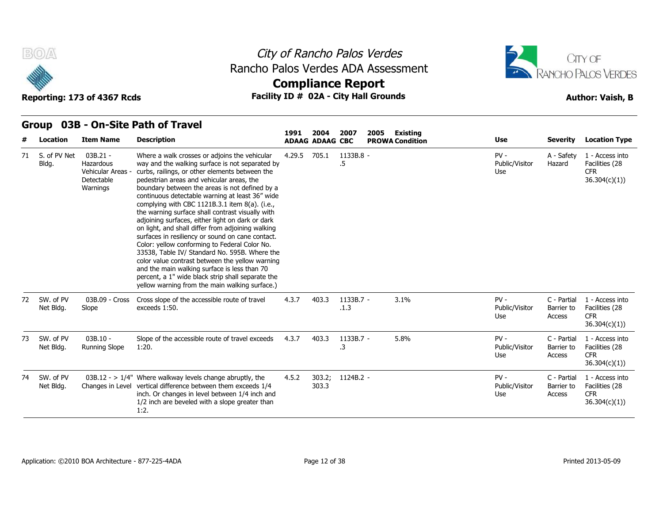

**Group 03B - On-Site Path of Travel**

## City of Rancho Palos Verdes Rancho Palos Verdes ADA Assessment



# **Compliance Report**

|    |                        |                                                                        | <b>The Site I atlief</b> in the sea                                                                                                                                                                                                                                                                                                                                                                                                                                                                                                                                                                                                                                                                                                                                                                                                                                                 | 1991   | 2004                   | 2007              | 2005 | <b>Existing</b>        |                                 |                                     |                                                                 |
|----|------------------------|------------------------------------------------------------------------|-------------------------------------------------------------------------------------------------------------------------------------------------------------------------------------------------------------------------------------------------------------------------------------------------------------------------------------------------------------------------------------------------------------------------------------------------------------------------------------------------------------------------------------------------------------------------------------------------------------------------------------------------------------------------------------------------------------------------------------------------------------------------------------------------------------------------------------------------------------------------------------|--------|------------------------|-------------------|------|------------------------|---------------------------------|-------------------------------------|-----------------------------------------------------------------|
|    | Location               | <b>Item Name</b>                                                       | <b>Description</b>                                                                                                                                                                                                                                                                                                                                                                                                                                                                                                                                                                                                                                                                                                                                                                                                                                                                  |        | <b>ADAAG ADAAG CBC</b> |                   |      | <b>PROWA Condition</b> | Use                             | <b>Severity</b>                     | <b>Location Type</b>                                            |
| 71 | S. of PV Net<br>Bldg.  | $03B.21 -$<br>Hazardous<br>Vehicular Areas -<br>Detectable<br>Warnings | Where a walk crosses or adjoins the vehicular<br>way and the walking surface is not separated by<br>curbs, railings, or other elements between the<br>pedestrian areas and vehicular areas, the<br>boundary between the areas is not defined by a<br>continuous detectable warning at least 36" wide<br>complying with CBC 1121B.3.1 item 8(a). (i.e.,<br>the warning surface shall contrast visually with<br>adjoining surfaces, either light on dark or dark<br>on light, and shall differ from adjoining walking<br>surfaces in resiliency or sound on cane contact.<br>Color: yellow conforming to Federal Color No.<br>33538, Table IV/ Standard No. 595B. Where the<br>color value contrast between the yellow warning<br>and the main walking surface is less than 70<br>percent, a 1" wide black strip shall separate the<br>yellow warning from the main walking surface.) | 4.29.5 | 705.1                  | 1133B.8 -<br>.5   |      |                        | $PV -$<br>Public/Visitor<br>Use | A - Safety<br>Hazard                | 1 - Access into<br>Facilities (28<br><b>CFR</b><br>36.304(c)(1) |
| 72 | SW. of PV<br>Net Bldg. | 03B.09 - Cross<br>Slope                                                | Cross slope of the accessible route of travel<br>exceeds 1:50.                                                                                                                                                                                                                                                                                                                                                                                                                                                                                                                                                                                                                                                                                                                                                                                                                      | 4.3.7  | 403.3                  | 1133B.7 -<br>.1.3 |      | 3.1%                   | $PV -$<br>Public/Visitor<br>Use | C - Partial<br>Barrier to<br>Access | 1 - Access into<br>Facilities (28<br><b>CFR</b><br>36.304(c)(1) |
| 73 | SW. of PV<br>Net Bldg. | $03B.10 -$<br><b>Running Slope</b>                                     | Slope of the accessible route of travel exceeds<br>1:20.                                                                                                                                                                                                                                                                                                                                                                                                                                                                                                                                                                                                                                                                                                                                                                                                                            | 4.3.7  | 403.3                  | 1133B.7 -<br>.3   |      | 5.8%                   | $PV -$<br>Public/Visitor<br>Use | C - Partial<br>Barrier to<br>Access | 1 - Access into<br>Facilities (28<br><b>CFR</b><br>36.304(c)(1) |
| 74 | SW. of PV<br>Net Bldg. |                                                                        | $03B.12 - > 1/4$ " Where walkway levels change abruptly, the<br>Changes in Level vertical difference between them exceeds 1/4<br>inch. Or changes in level between 1/4 inch and<br>1/2 inch are beveled with a slope greater than<br>1:2.                                                                                                                                                                                                                                                                                                                                                                                                                                                                                                                                                                                                                                           | 4.5.2  | 303.2;<br>303.3        | 1124B.2 -         |      |                        | $PV -$<br>Public/Visitor<br>Use | C - Partial<br>Barrier to<br>Access | 1 - Access into<br>Facilities (28<br><b>CFR</b><br>36.304(c)(1) |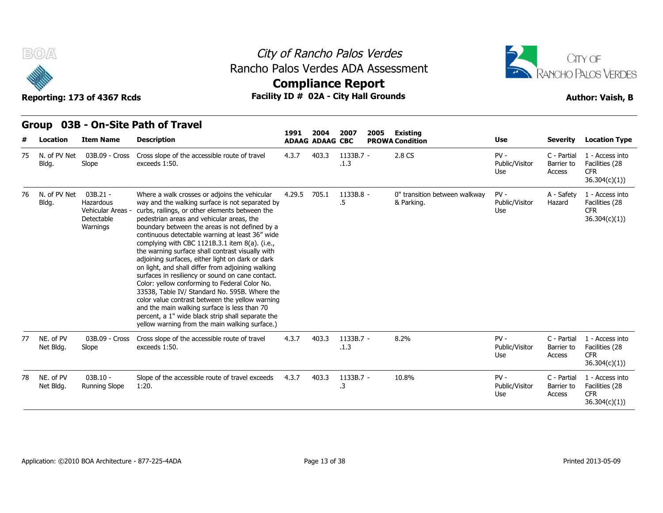

### City of Rancho Palos Verdes **Compliance Report** Rancho Palos Verdes ADA Assessment



Reporting: 173 of 4367 Rcds **Facility ID # 02A - City Hall Grounds Reporting: 173 of 4367 Rcds Author: Vaish, B** 

**Group 03B - On-Site Path of Travel**

|    |                        |                                                                        |                                                                                                                                                                                                                                                                                                                                                                                                                                                                                                                                                                                                                                                                                                                                                                                                                                                                                        | 1991   | 2004                   | 2007              | 2005 | <b>Existing</b>                             |                                 |                                     |                                                                  |
|----|------------------------|------------------------------------------------------------------------|----------------------------------------------------------------------------------------------------------------------------------------------------------------------------------------------------------------------------------------------------------------------------------------------------------------------------------------------------------------------------------------------------------------------------------------------------------------------------------------------------------------------------------------------------------------------------------------------------------------------------------------------------------------------------------------------------------------------------------------------------------------------------------------------------------------------------------------------------------------------------------------|--------|------------------------|-------------------|------|---------------------------------------------|---------------------------------|-------------------------------------|------------------------------------------------------------------|
|    | Location               | <b>Item Name</b>                                                       | <b>Description</b>                                                                                                                                                                                                                                                                                                                                                                                                                                                                                                                                                                                                                                                                                                                                                                                                                                                                     |        | <b>ADAAG ADAAG CBC</b> |                   |      | <b>PROWA Condition</b>                      | <b>Use</b>                      | <b>Severity</b>                     | <b>Location Type</b>                                             |
| 75 | N. of PV Net<br>Bldg.  | 03B.09 - Cross<br>Slope                                                | Cross slope of the accessible route of travel<br>exceeds 1:50.                                                                                                                                                                                                                                                                                                                                                                                                                                                                                                                                                                                                                                                                                                                                                                                                                         | 4.3.7  | 403.3                  | 1133B.7 -<br>.1.3 |      | 2.8 CS                                      | $PV -$<br>Public/Visitor<br>Use | C - Partial<br>Barrier to<br>Access | 1 - Access into<br>Facilities (28<br><b>CFR</b><br>36.304(c)(1)) |
| 76 | N. of PV Net<br>Bldg.  | $03B.21 -$<br>Hazardous<br>Vehicular Areas -<br>Detectable<br>Warnings | Where a walk crosses or adjoins the vehicular<br>way and the walking surface is not separated by<br>curbs, railings, or other elements between the<br>pedestrian areas and vehicular areas, the<br>boundary between the areas is not defined by a<br>continuous detectable warning at least 36" wide<br>complying with CBC 1121B.3.1 item $8(a)$ . (i.e.,<br>the warning surface shall contrast visually with<br>adjoining surfaces, either light on dark or dark<br>on light, and shall differ from adjoining walking<br>surfaces in resiliency or sound on cane contact.<br>Color: yellow conforming to Federal Color No.<br>33538, Table IV/ Standard No. 595B. Where the<br>color value contrast between the yellow warning<br>and the main walking surface is less than 70<br>percent, a 1" wide black strip shall separate the<br>yellow warning from the main walking surface.) | 4.29.5 | 705.1                  | 1133B.8 -<br>.5   |      | 0" transition between walkway<br>& Parking. | $PV -$<br>Public/Visitor<br>Use | A - Safety<br>Hazard                | 1 - Access into<br>Facilities (28<br><b>CFR</b><br>36.304(c)(1)  |
| 77 | NE. of PV<br>Net Bldg. | 03B.09 - Cross<br>Slope                                                | Cross slope of the accessible route of travel<br>exceeds 1:50.                                                                                                                                                                                                                                                                                                                                                                                                                                                                                                                                                                                                                                                                                                                                                                                                                         | 4.3.7  | 403.3                  | 1133B.7 -<br>.1.3 |      | 8.2%                                        | $PV -$<br>Public/Visitor<br>Use | C - Partial<br>Barrier to<br>Access | 1 - Access into<br>Facilities (28<br><b>CFR</b><br>36.304(c)(1)  |
| 78 | NE. of PV<br>Net Bldg. | $03B.10 -$<br><b>Running Slope</b>                                     | Slope of the accessible route of travel exceeds<br>1:20.                                                                                                                                                                                                                                                                                                                                                                                                                                                                                                                                                                                                                                                                                                                                                                                                                               | 4.3.7  | 403.3                  | 1133B.7 -<br>.3   |      | 10.8%                                       | $PV -$<br>Public/Visitor<br>Use | C - Partial<br>Barrier to<br>Access | 1 - Access into<br>Facilities (28<br><b>CFR</b><br>36.304(c)(1)) |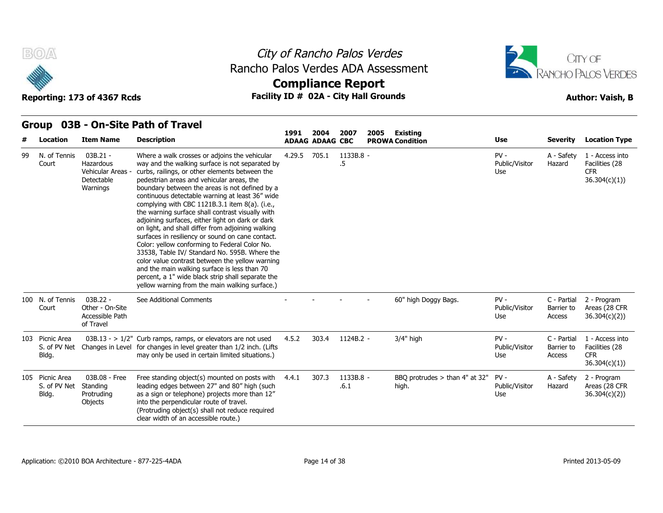



Reporting: 173 of 4367 Rcds **Facility ID # 02A - City Hall Grounds Reporting: 173 of 4367 Rcds Author: Vaish, B Compliance Report**

**2004 2007 2005 Existing**

**1991** 

|  | Group 03B - On-Site Path of Travel |  |
|--|------------------------------------|--|
|--|------------------------------------|--|

| #  | Location                                 | <b>Item Name</b>                                                            | <b>Description</b>                                                                                                                                                                                                                                                                                                                                                                                                                                                                                                                                                                                                                                                                                                                                                                                                                                                                  |        | <b>ADAAG ADAAG CBC</b> |                   | <b>PROWA Condition</b>                    | <b>Use</b>                      | <b>Severity</b>                     | <b>Location Type</b>                                             |
|----|------------------------------------------|-----------------------------------------------------------------------------|-------------------------------------------------------------------------------------------------------------------------------------------------------------------------------------------------------------------------------------------------------------------------------------------------------------------------------------------------------------------------------------------------------------------------------------------------------------------------------------------------------------------------------------------------------------------------------------------------------------------------------------------------------------------------------------------------------------------------------------------------------------------------------------------------------------------------------------------------------------------------------------|--------|------------------------|-------------------|-------------------------------------------|---------------------------------|-------------------------------------|------------------------------------------------------------------|
| 99 | N. of Tennis<br>Court                    | $03B.21 -$<br><b>Hazardous</b><br>Vehicular Areas<br>Detectable<br>Warnings | Where a walk crosses or adjoins the vehicular<br>way and the walking surface is not separated by<br>curbs, railings, or other elements between the<br>pedestrian areas and vehicular areas, the<br>boundary between the areas is not defined by a<br>continuous detectable warning at least 36" wide<br>complying with CBC 1121B.3.1 item 8(a). (i.e.,<br>the warning surface shall contrast visually with<br>adjoining surfaces, either light on dark or dark<br>on light, and shall differ from adjoining walking<br>surfaces in resiliency or sound on cane contact.<br>Color: yellow conforming to Federal Color No.<br>33538, Table IV/ Standard No. 595B. Where the<br>color value contrast between the yellow warning<br>and the main walking surface is less than 70<br>percent, a 1" wide black strip shall separate the<br>yellow warning from the main walking surface.) | 4.29.5 | 705.1                  | 1133B.8 -<br>.5   |                                           | $PV -$<br>Public/Visitor<br>Use | A - Safety<br>Hazard                | 1 - Access into<br>Facilities (28<br><b>CFR</b><br>36.304(c)(1)) |
|    | 100 N. of Tennis<br>Court                | $03B.22 -$<br>Other - On-Site<br>Accessible Path<br>of Travel               | See Additional Comments                                                                                                                                                                                                                                                                                                                                                                                                                                                                                                                                                                                                                                                                                                                                                                                                                                                             |        |                        |                   | 60" high Doggy Bags.                      | $PV -$<br>Public/Visitor<br>Use | C - Partial<br>Barrier to<br>Access | 2 - Program<br>Areas (28 CFR<br>36.304(c)(2)                     |
|    | 103 Picnic Area<br>S. of PV Net<br>Bldg. |                                                                             | $03B.13 - 1/2$ " Curb ramps, ramps, or elevators are not used<br>Changes in Level for changes in level greater than 1/2 inch. (Lifts<br>may only be used in certain limited situations.)                                                                                                                                                                                                                                                                                                                                                                                                                                                                                                                                                                                                                                                                                            | 4.5.2  | 303.4                  | 1124B.2 -         | $3/4"$ high                               | $PV -$<br>Public/Visitor<br>Use | C - Partial<br>Barrier to<br>Access | 1 - Access into<br>Facilities (28<br><b>CFR</b><br>36.304(c)(1)  |
|    | 105 Picnic Area<br>S. of PV Net<br>Bldg. | 03B.08 - Free<br>Standing<br>Protruding<br><b>Objects</b>                   | Free standing object(s) mounted on posts with<br>leading edges between 27" and 80" high (such<br>as a sign or telephone) projects more than 12"<br>into the perpendicular route of travel.<br>(Protruding object(s) shall not reduce required<br>clear width of an accessible route.)                                                                                                                                                                                                                                                                                                                                                                                                                                                                                                                                                                                               | 4.4.1  | 307.3                  | 1133B.8 -<br>.6.1 | BBO protrudes $>$ than 4" at 32"<br>high. | $PV -$<br>Public/Visitor<br>Use | A - Safety<br>Hazard                | 2 - Program<br>Areas (28 CFR<br>36.304(c)(2)                     |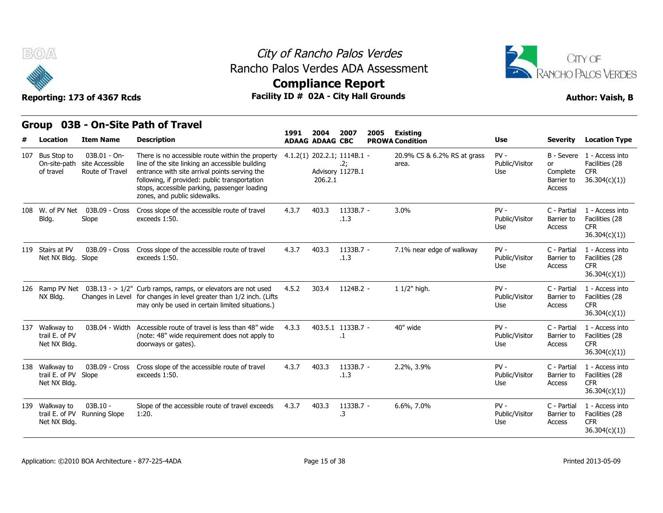

## City of Rancho Palos Verdes Rancho Palos Verdes ADA Assessment



## **Compliance Report**

| <b>BOA</b>                                             | Reporting: 173 of 4367 Rcds                        |                                                                                                                                                                                                                                                                                       | City of Rancho Palos Verdes<br>Rancho Palos Verdes ADA Assessment<br><b>Compliance Report</b><br>Facility ID # 02A - City Hall Grounds |                                |                                                        |      |                                           |                                 |                                               |                                                                            |  |  |  |  |
|--------------------------------------------------------|----------------------------------------------------|---------------------------------------------------------------------------------------------------------------------------------------------------------------------------------------------------------------------------------------------------------------------------------------|----------------------------------------------------------------------------------------------------------------------------------------|--------------------------------|--------------------------------------------------------|------|-------------------------------------------|---------------------------------|-----------------------------------------------|----------------------------------------------------------------------------|--|--|--|--|
| <b>Group</b>                                           |                                                    | 03B - On-Site Path of Travel                                                                                                                                                                                                                                                          |                                                                                                                                        |                                |                                                        |      |                                           |                                 |                                               |                                                                            |  |  |  |  |
| Location                                               | <b>Item Name</b>                                   | <b>Description</b>                                                                                                                                                                                                                                                                    | 1991                                                                                                                                   | 2004<br><b>ADAAG ADAAG CBC</b> | 2007                                                   | 2005 | <b>Existing</b><br><b>PROWA Condition</b> | Use                             | <b>Severity</b>                               | <b>Location Type</b>                                                       |  |  |  |  |
| 107 Bus Stop to<br>On-site-path<br>of travel           | 03B.01 - On-<br>site Accessible<br>Route of Travel | There is no accessible route within the property<br>line of the site linking an accessible building<br>entrance with site arrival points serving the<br>following, if provided: public transportation<br>stops, accessible parking, passenger loading<br>zones, and public sidewalks. |                                                                                                                                        | 206.2.1                        | 4.1.2(1) 202.2.1; 1114B.1 -<br>.2;<br>Advisory 1127B.1 |      | 20.9% CS & 6.2% RS at grass<br>area.      | $PV -$<br>Public/Visitor<br>Use | <b>or</b><br>Complete<br>Barrier to<br>Access | B - Severe 1 - Access into<br>Facilities (28<br><b>CFR</b><br>36.304(c)(1) |  |  |  |  |
| 108 W. of PV Net<br>Bldg.                              | 03B.09 - Cross<br>Slope                            | Cross slope of the accessible route of travel<br>exceeds 1:50.                                                                                                                                                                                                                        | 4.3.7                                                                                                                                  | 403.3                          | 1133B.7 -<br>.1.3                                      |      | 3.0%                                      | $PV -$<br>Public/Visitor<br>Use | C - Partial<br>Barrier to<br>Access           | 1 - Access into<br>Facilities (28<br><b>CFR</b><br>36.304(c)(1)            |  |  |  |  |
| 119 Stairs at PV<br>Net NX Bldg. Slope                 | 03B.09 - Cross                                     | Cross slope of the accessible route of travel<br>exceeds 1:50.                                                                                                                                                                                                                        | 4.3.7                                                                                                                                  | 403.3                          | 1133B.7 -<br>.1.3                                      |      | 7.1% near edge of walkway                 | $PV -$<br>Public/Visitor<br>Use | C - Partial<br>Barrier to<br>Access           | 1 - Access into<br>Facilities (28<br>CFR.<br>36.304(c)(1)                  |  |  |  |  |
| NX Bldg.                                               |                                                    | 126 Ramp PV Net $03B.13 -> 1/2$ " Curb ramps, ramps, or elevators are not used<br>Changes in Level for changes in level greater than 1/2 inch. (Lifts<br>may only be used in certain limited situations.)                                                                             | 4.5.2                                                                                                                                  | 303.4                          | 1124B.2 -                                              |      | 1 1/2" high.                              | $PV -$<br>Public/Visitor<br>Use | C - Partial<br>Barrier to<br>Access           | 1 - Access into<br>Facilities (28<br><b>CFR</b><br>36.304(c)(1)            |  |  |  |  |
| 137 Walkway to<br>trail E. of PV<br>Net NX Bldg.       | 03B.04 - Width                                     | Accessible route of travel is less than 48" wide<br>(note: 48" wide requirement does not apply to<br>doorways or gates).                                                                                                                                                              | 4.3.3                                                                                                                                  |                                | 403.5.1 1133B.7 -<br>.1                                |      | 40" wide                                  | $PV -$<br>Public/Visitor<br>Use | C - Partial<br>Barrier to<br>Access           | 1 - Access into<br>Facilities (28<br><b>CFR</b><br>36.304(c)(1))           |  |  |  |  |
| 138 Walkway to<br>trail E. of PV Slope<br>Net NX Bldg. | 03B.09 - Cross                                     | Cross slope of the accessible route of travel<br>exceeds 1:50.                                                                                                                                                                                                                        | 4.3.7                                                                                                                                  | 403.3                          | 1133B.7 -<br>.1.3                                      |      | 2.2%, 3.9%                                | $PV -$<br>Public/Visitor<br>Use | C - Partial<br>Barrier to<br>Access           | 1 - Access into<br>Facilities (28<br><b>CFR</b><br>36.304(c)(1)            |  |  |  |  |
| 139 Walkway to<br>Net NX Bldg.                         | 03B.10 -<br>trail E. of PV Running Slope           | Slope of the accessible route of travel exceeds<br>1:20.                                                                                                                                                                                                                              | 4.3.7                                                                                                                                  | 403.3                          | 1133B.7 -<br>.3                                        |      | 6.6%, 7.0%                                | $PV -$<br>Public/Visitor<br>Use | C - Partial<br>Barrier to<br>Access           | 1 - Access into<br>Facilities (28<br><b>CFR</b><br>36.304(c)(1))           |  |  |  |  |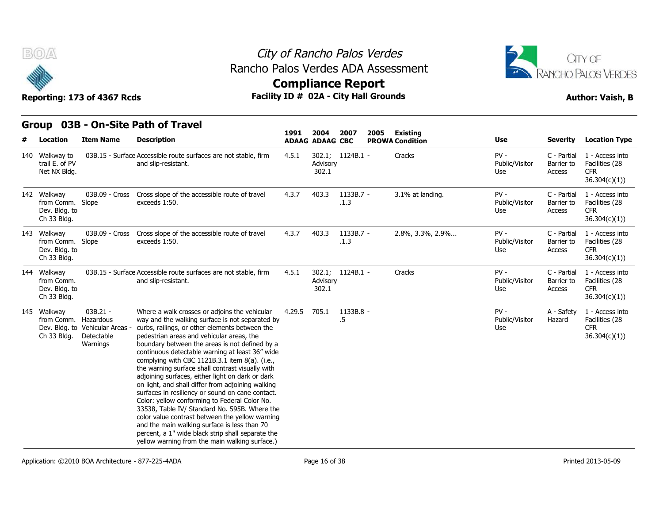

### City of Rancho Palos Verdes **Compliance Report** Rancho Palos Verdes ADA Assessment



#### **Group 03B - On-Site Path of Travel**

| B(0)                                                      | Reporting: 173 of 4367 Rcds                                             |                                                                                                                                                                                                                                                                                                                                                                                                                                                                                                                                                                                                                                                                                                                                                                                                                                                                                     | City of Rancho Palos Verdes<br>Rancho Palos Verdes ADA Assessment<br><b>Compliance Report</b><br>Facility ID # 02A - City Hall Grounds |                                |                     |      |                                           |                                 |                                     |                                                                  |  |  |  |
|-----------------------------------------------------------|-------------------------------------------------------------------------|-------------------------------------------------------------------------------------------------------------------------------------------------------------------------------------------------------------------------------------------------------------------------------------------------------------------------------------------------------------------------------------------------------------------------------------------------------------------------------------------------------------------------------------------------------------------------------------------------------------------------------------------------------------------------------------------------------------------------------------------------------------------------------------------------------------------------------------------------------------------------------------|----------------------------------------------------------------------------------------------------------------------------------------|--------------------------------|---------------------|------|-------------------------------------------|---------------------------------|-------------------------------------|------------------------------------------------------------------|--|--|--|
| Location                                                  | <b>Item Name</b>                                                        | Group 03B - On-Site Path of Travel<br><b>Description</b>                                                                                                                                                                                                                                                                                                                                                                                                                                                                                                                                                                                                                                                                                                                                                                                                                            | 1991                                                                                                                                   | 2004<br><b>ADAAG ADAAG CBC</b> | 2007                | 2005 | <b>Existing</b><br><b>PROWA Condition</b> | Use                             | <b>Severity</b>                     | <b>Location Type</b>                                             |  |  |  |
| 140 Walkway to<br>trail E. of PV<br>Net NX Bldg.          |                                                                         | 03B.15 - Surface Accessible route surfaces are not stable, firm<br>and slip-resistant.                                                                                                                                                                                                                                                                                                                                                                                                                                                                                                                                                                                                                                                                                                                                                                                              | 4.5.1                                                                                                                                  | Advisory<br>302.1              | 302.1; 1124B.1 -    |      | Cracks                                    | $PV -$<br>Public/Visitor<br>Use | C - Partial<br>Barrier to<br>Access | 1 - Access into<br>Facilities (28<br><b>CFR</b><br>36.304(c)(1)) |  |  |  |
| 142 Walkway<br>from Comm.<br>Dev. Bldg. to<br>Ch 33 Bldg. | 03B.09 - Cross<br>Slope                                                 | Cross slope of the accessible route of travel<br>exceeds 1:50.                                                                                                                                                                                                                                                                                                                                                                                                                                                                                                                                                                                                                                                                                                                                                                                                                      | 4.3.7                                                                                                                                  | 403.3                          | $1133B.7 -$<br>.1.3 |      | 3.1% at landing.                          | $PV -$<br>Public/Visitor<br>Use | C - Partial<br>Barrier to<br>Access | 1 - Access into<br>Facilities (28<br><b>CFR</b><br>36.304(c)(1)) |  |  |  |
| 143 Walkway<br>from Comm.<br>Dev. Bldg. to<br>Ch 33 Bldg. | 03B.09 - Cross<br>Slope                                                 | Cross slope of the accessible route of travel<br>exceeds 1:50.                                                                                                                                                                                                                                                                                                                                                                                                                                                                                                                                                                                                                                                                                                                                                                                                                      | 4.3.7                                                                                                                                  | 403.3                          | 1133B.7 -<br>.1.3   |      | 2.8%, 3.3%, 2.9%                          | $PV -$<br>Public/Visitor<br>Use | C - Partial<br>Barrier to<br>Access | 1 - Access into<br>Facilities (28<br><b>CFR</b><br>36.304(c)(1)) |  |  |  |
| 144 Walkway<br>from Comm.<br>Dev. Bldg. to<br>Ch 33 Bldg. |                                                                         | 03B.15 - Surface Accessible route surfaces are not stable, firm<br>and slip-resistant.                                                                                                                                                                                                                                                                                                                                                                                                                                                                                                                                                                                                                                                                                                                                                                                              | 4.5.1                                                                                                                                  | Advisory<br>302.1              | 302.1; 1124B.1 -    |      | Cracks                                    | $PV -$<br>Public/Visitor<br>Use | C - Partial<br>Barrier to<br>Access | 1 - Access into<br>Facilities (28<br><b>CFR</b><br>36.304(c)(1)  |  |  |  |
| 145 Walkway<br>from Comm. Hazardous<br>Ch 33 Bldg.        | $03B.21 -$<br>Dev. Bldg. to Vehicular Areas -<br>Detectable<br>Warnings | Where a walk crosses or adjoins the vehicular<br>way and the walking surface is not separated by<br>curbs, railings, or other elements between the<br>pedestrian areas and vehicular areas, the<br>boundary between the areas is not defined by a<br>continuous detectable warning at least 36" wide<br>complying with CBC 1121B.3.1 item 8(a). (i.e.,<br>the warning surface shall contrast visually with<br>adjoining surfaces, either light on dark or dark<br>on light, and shall differ from adjoining walking<br>surfaces in resiliency or sound on cane contact.<br>Color: yellow conforming to Federal Color No.<br>33538, Table IV/ Standard No. 595B. Where the<br>color value contrast between the yellow warning<br>and the main walking surface is less than 70<br>percent, a 1" wide black strip shall separate the<br>yellow warning from the main walking surface.) | 4.29.5                                                                                                                                 | 705.1                          | 1133B.8 -<br>.5     |      |                                           | $PV -$<br>Public/Visitor<br>Use | A - Safety<br>Hazard                | 1 - Access into<br>Facilities (28<br><b>CFR</b><br>36.304(c)(1)) |  |  |  |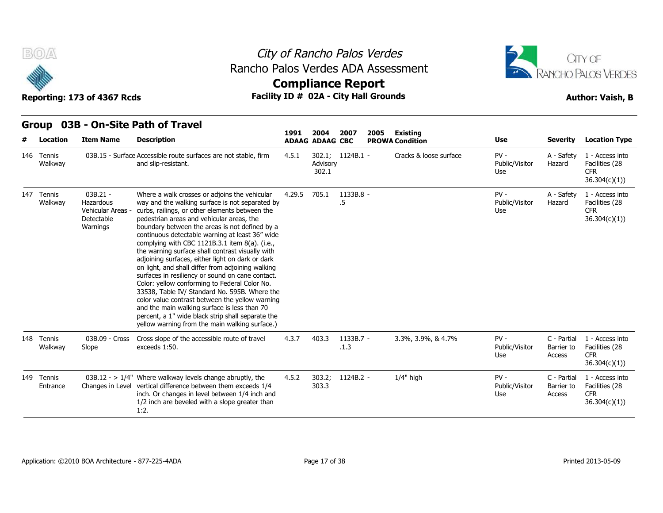



## **Compliance Report**

| B(0)<br>Rancho Palos Verdes ADA Assessment<br>Reporting: 173 of 4367 Rcds |                        |                                                                      |                                                                                                                                                                                                                                                                                                                                                                                                                                                                                                                                                                                                                                                                                                                                                                                                                                                                                     |        |                                | City of Rancho Palos Verdes<br><b>Compliance Report</b><br>Facility ID # 02A - City Hall Grounds |      |                                    |                                 | CITY OF<br>RANCHO PALOS VERDES<br><b>Author: Vaish, B</b> |                                                                 |
|---------------------------------------------------------------------------|------------------------|----------------------------------------------------------------------|-------------------------------------------------------------------------------------------------------------------------------------------------------------------------------------------------------------------------------------------------------------------------------------------------------------------------------------------------------------------------------------------------------------------------------------------------------------------------------------------------------------------------------------------------------------------------------------------------------------------------------------------------------------------------------------------------------------------------------------------------------------------------------------------------------------------------------------------------------------------------------------|--------|--------------------------------|--------------------------------------------------------------------------------------------------|------|------------------------------------|---------------------------------|-----------------------------------------------------------|-----------------------------------------------------------------|
|                                                                           | Location               | <b>Item Name</b>                                                     | Group 03B - On-Site Path of Travel<br><b>Description</b>                                                                                                                                                                                                                                                                                                                                                                                                                                                                                                                                                                                                                                                                                                                                                                                                                            | 1991   | 2004<br><b>ADAAG ADAAG CBC</b> | 2007                                                                                             | 2005 | Existing<br><b>PROWA Condition</b> | Use                             | Severity                                                  | <b>Location Type</b>                                            |
|                                                                           | 146 Tennis<br>Walkway  |                                                                      | 03B.15 - Surface Accessible route surfaces are not stable, firm<br>and slip-resistant.                                                                                                                                                                                                                                                                                                                                                                                                                                                                                                                                                                                                                                                                                                                                                                                              | 4.5.1  | Advisory<br>302.1              | 302.1; 1124B.1 -                                                                                 |      | Cracks & loose surface             | $PV -$<br>Public/Visitor<br>Use | A - Safety<br>Hazard                                      | 1 - Access into<br>Facilities (28<br><b>CFR</b><br>36.304(c)(1) |
|                                                                           | 147 Tennis<br>Walkway  | 03B.21 -<br>Hazardous<br>Vehicular Areas -<br>Detectable<br>Warnings | Where a walk crosses or adjoins the vehicular<br>way and the walking surface is not separated by<br>curbs, railings, or other elements between the<br>pedestrian areas and vehicular areas, the<br>boundary between the areas is not defined by a<br>continuous detectable warning at least 36" wide<br>complying with CBC 1121B.3.1 item 8(a). (i.e.,<br>the warning surface shall contrast visually with<br>adjoining surfaces, either light on dark or dark<br>on light, and shall differ from adjoining walking<br>surfaces in resiliency or sound on cane contact.<br>Color: yellow conforming to Federal Color No.<br>33538, Table IV/ Standard No. 595B. Where the<br>color value contrast between the yellow warning<br>and the main walking surface is less than 70<br>percent, a 1" wide black strip shall separate the<br>yellow warning from the main walking surface.) | 4.29.5 | 705.1                          | 1133B.8 -<br>.5                                                                                  |      |                                    | $PV -$<br>Public/Visitor<br>Use | A - Safety<br>Hazard                                      | 1 - Access into<br>Facilities (28<br><b>CFR</b><br>36.304(c)(1) |
|                                                                           | 148 Tennis<br>Walkway  | 03B.09 - Cross<br>Slope                                              | Cross slope of the accessible route of travel<br>exceeds 1:50.                                                                                                                                                                                                                                                                                                                                                                                                                                                                                                                                                                                                                                                                                                                                                                                                                      | 4.3.7  | 403.3                          | 1133B.7 -<br>.1.3                                                                                |      | 3.3%, 3.9%, & 4.7%                 | $PV -$<br>Public/Visitor<br>Use | C - Partial<br>Barrier to<br>Access                       | 1 - Access into<br>Facilities (28<br><b>CFR</b><br>36.304(c)(1) |
|                                                                           | 149 Tennis<br>Entrance |                                                                      | 03B.12 - $> 1/4$ " Where walkway levels change abruptly, the<br>Changes in Level vertical difference between them exceeds 1/4<br>inch. Or changes in level between 1/4 inch and<br>1/2 inch are beveled with a slope greater than<br>1:2.                                                                                                                                                                                                                                                                                                                                                                                                                                                                                                                                                                                                                                           | 4.5.2  | 303.2;<br>303.3                | 1124B.2 -                                                                                        |      | $1/4"$ high                        | $PV -$<br>Public/Visitor<br>Use | C - Partial<br>Barrier to<br>Access                       | 1 - Access into<br>Facilities (28<br><b>CFR</b><br>36.304(c)(1) |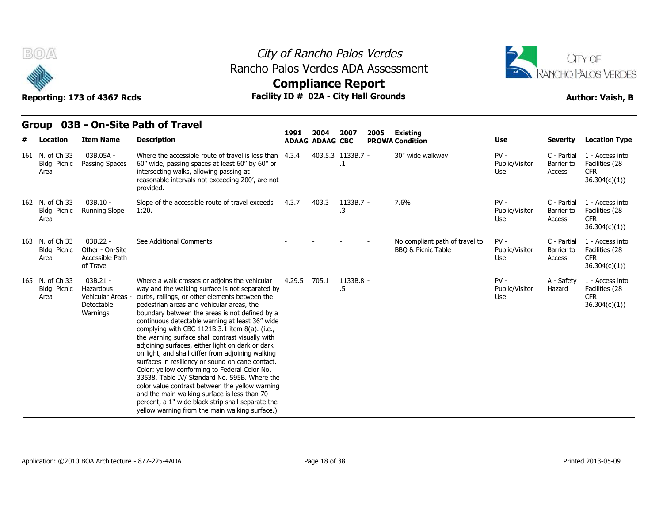



**Compliance Report**

#### **Group 03B - On-Site Path of Travel Item Name Description 1991 ADAAG 2004 ADAAG CBC PROWA 2007 2005 Existing # Location Condition Use Severity Location Type** 03B.05A - Passing Spaces 60" wide, passing spaces at least 60" by 60" or Where the accessible route of travel is less than  $4.3.4$   $403.5.3$  1133B.7 intersecting walks, allowing passing at reasonable intervals not exceeding 200', are not provided. of Rancho Palos Verdes<br>
los Verdes ADA Assessment<br> **Exampliance Report**<br>
10 # 02A - City Hall Grounds<br>
1991 2004 2007 2005 Existing<br>
ADAAG ADAAG CBC PROWA Condition<br>
4.3.4 403.5.3 1133B.7 - 30" wide wal .1 30" wide walkway  $PV -$  C - Partial Public/Visitor Barrier to Use Access C - Partial 1 - Access into Barrier to Facilities (28 CFR 36.304(c)(1)) Bldg. Picnic Passing Spaces Area 03B.10 - Running Slope 1:20. Slope of the accessible route of travel exceeds 4.3.7 403.3 1133B.7 - 7.6%<br>1:20. 3. .3 - 7.6% PV - Public/Visitor Use Access C - Partial 1 - Access into Barrier to Facilities (28 CFR 36.304(c)(1)) **Reporting: 173 of 436<br>
Group 03B - On-S<br>
# Location Item Nam<br>
161 N. of Ch 33 03B.05A -<br>
Bldg. Picnic Passing Spa<br>
Area<br>
The N. of Ch 33 03B.10 -<br>
Bldg. Picnic Running Sld<br>
Area** Bldg. Picnic Area 03B 22 - See Additional Comments Other - On-Site Accessible Path Area of Travel No compliant path of travel to BBQ & Picnic Table PV - C - Partial Public/Visitor Use Access C - Partial 1 - Access into Barrier to Facilities (28 CFR 36.304(c)(1)) **# Location Item Nam**<br>
161 N. of Ch 33 03B.05A -<br>
Bldg. Picnic Passing Spa<br>
Area<br>
162 N. of Ch 33 03B.10 -<br>
Bldg. Picnic Running Sk<br>
Area<br>
163 N. of Ch 33 03B.22 -<br>
Bldg. Picnic Running Sk<br>
Area Accessible Iof Travel Bldg. Picnic 03B.21 - Hazardous Vehicular Areas - curbs, railings, or other elements between the Area **Detectable** Warnings boundary between the areas is not defined by a Where a walk crosses or adjoins the vehicular way and the walking surface is not separated by pedestrian areas and vehicular areas, the continuous detectable warning at least 36" wide complying with CBC 1121B.3.1 item 8(a). (i.e., the warning surface shall contrast visually with adjoining surfaces, either light on dark or dark on light, and shall differ from adjoining walking surfaces in resiliency or sound on cane contact. Color: yellow conforming to Federal Color No. 33538, Table IV/ Standard No. 595B. Where the color value contrast between the yellow warning and the main walking surface is less than 70 percent, a 1" wide black strip shall separate the yellow warning from the main walking surface.) 4.29.5 705.1 1133B.8 .5 - PV - Public/Visitor Use A - Safety 1 - Access into Hazard Facilities (28 CFR 36.304(c)(1)) Area<br>
162 N. of Ch 33 03B.10 -<br>
Bldg. Picnic Running Sk<br>
Area<br>
163 N. of Ch 33 03B.22 -<br>
Bldg. Picnic Other - On-<br>
Area Accessible I<br>
of Travel<br>
165 N. of Ch 33 03B.21 -<br>
Bldg. Picnic Hazardous<br>
Area Vehicular A Bldg. Picnic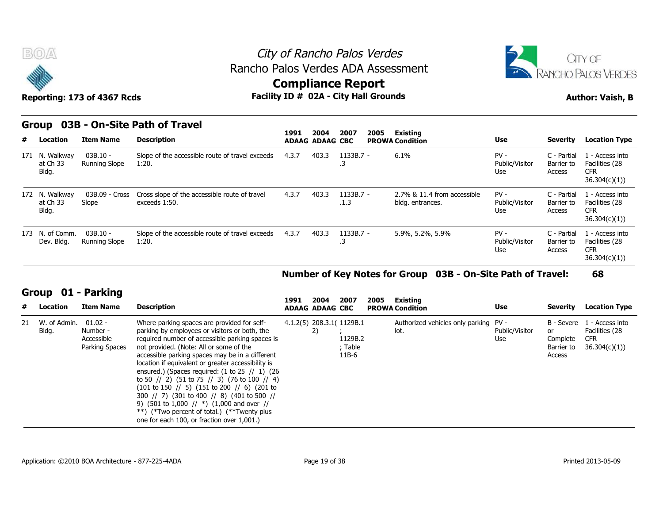



### **Compliance Report**

|  |  | Group 03B - On-Site Path of Travel |  |  |
|--|--|------------------------------------|--|--|
|--|--|------------------------------------|--|--|

|    | $\tilde{\phantom{a}}$<br>Reporting: 173 of 4367 Rcds |                                                       |                                                                                                                                                                                           | somphanee report<br>Facility ID # 02A - City Hall Grounds |                                |                                                 |      | <b>Author: Vaish, B</b>                                     |                                 |                                            |                                                                  |
|----|------------------------------------------------------|-------------------------------------------------------|-------------------------------------------------------------------------------------------------------------------------------------------------------------------------------------------|-----------------------------------------------------------|--------------------------------|-------------------------------------------------|------|-------------------------------------------------------------|---------------------------------|--------------------------------------------|------------------------------------------------------------------|
|    | Group                                                |                                                       | 03B - On-Site Path of Travel                                                                                                                                                              | 1991                                                      | 2004                           | 2007                                            | 2005 | <b>Existing</b>                                             |                                 |                                            |                                                                  |
| #  | Location                                             | <b>Item Name</b>                                      | <b>Description</b>                                                                                                                                                                        |                                                           | <b>ADAAG ADAAG CBC</b>         |                                                 |      | <b>PROWA Condition</b>                                      | Use                             | Severity                                   | <b>Location Type</b>                                             |
|    | 171 N. Walkway<br>at Ch 33<br>Bldg.                  | $03B.10 -$<br><b>Running Slope</b>                    | Slope of the accessible route of travel exceeds<br>1:20.                                                                                                                                  | 4.3.7                                                     | 403.3                          | $1133B.7 -$<br>.3                               |      | 6.1%                                                        | $PV -$<br>Public/Visitor<br>Use | C - Partial<br>Barrier to<br>Access        | 1 - Access into<br>Facilities (28<br><b>CFR</b><br>36.304(c)(1)  |
|    | 172 N. Walkway<br>at Ch 33<br>Bldg.                  | 03B.09 - Cross<br>Slope                               | Cross slope of the accessible route of travel<br>exceeds 1:50.                                                                                                                            | 4.3.7                                                     | 403.3                          | $1133B.7 -$<br>.1.3                             |      | 2.7% & 11.4 from accessible<br>bldg. entrances.             | $PV -$<br>Public/Visitor<br>Use | C - Partial<br>Barrier to<br>Access        | 1 - Access into<br>Facilities (28<br><b>CFR</b><br>36.304(c)(1)  |
|    | 173 N. of Comm.<br>Dev. Bldg.                        | $03B.10 -$<br>Running Slope                           | Slope of the accessible route of travel exceeds<br>1:20.                                                                                                                                  | 4.3.7                                                     | 403.3                          | 1133B.7 -<br>.3                                 |      | 5.9%, 5.2%, 5.9%                                            | $PV -$<br>Public/Visitor<br>Use | C - Partial<br>Barrier to<br>Access        | 1 - Access into<br>Facilities (28<br><b>CFR</b><br>36.304(c)(1)) |
|    |                                                      |                                                       |                                                                                                                                                                                           |                                                           |                                |                                                 |      | Number of Key Notes for Group 03B - On-Site Path of Travel: |                                 |                                            | 68                                                               |
| #  | Group<br>Location                                    | 01 - Parking<br><b>Item Name</b>                      | <b>Description</b>                                                                                                                                                                        | 1991                                                      | 2004<br><b>ADAAG ADAAG CBC</b> | 2007                                            | 2005 | Existing<br><b>PROWA Condition</b>                          | Use                             | Severity                                   | <b>Location Type</b>                                             |
| 21 | W. of Admin.<br>Bldg.                                | $01.02 -$<br>Number -<br>Accessible<br>Darking Snaces | Where parking spaces are provided for self-<br>parking by employees or visitors or both, the<br>required number of accessible parking spaces is<br>not provided (Note: All or come of the |                                                           | 2)                             | 4.1.2(5) 208.3.1( 1129B.1<br>1129B.2<br>ahle ۲۰ |      | Authorized vehicles only parking<br>lot.                    | $PV -$<br>Public/Visitor<br>Use | B - Severe<br>or<br>Complete<br>Rarriar to | 1 - Access into<br>Facilities (28<br><b>CFR</b><br>36.304(c)(1)) |

#### **Number of Key Notes for Group 03B - On-Site Path of Travel: 68**

#### **Group 01 - Parking**

| #  | Location              | <b>Item Name</b>                                      | <b>Description</b>                                                                                                                                                                                                                                                                                                                                                                                                                                                                                                                                                                                                                                                                                                                                                                                                                                                                                      | 1991 | 2004<br><b>ADAAG ADAAG CBC</b> | 2007                                                     | 2005 | Existing<br><b>PROWA Condition</b>            | <b>Use</b>            | Severity                               | <b>Location Type</b>                                                       |
|----|-----------------------|-------------------------------------------------------|---------------------------------------------------------------------------------------------------------------------------------------------------------------------------------------------------------------------------------------------------------------------------------------------------------------------------------------------------------------------------------------------------------------------------------------------------------------------------------------------------------------------------------------------------------------------------------------------------------------------------------------------------------------------------------------------------------------------------------------------------------------------------------------------------------------------------------------------------------------------------------------------------------|------|--------------------------------|----------------------------------------------------------|------|-----------------------------------------------|-----------------------|----------------------------------------|----------------------------------------------------------------------------|
| 21 | W. of Admin.<br>Bldg. | $01.02 -$<br>Number -<br>Accessible<br>Parking Spaces | Where parking spaces are provided for self-<br>parking by employees or visitors or both, the<br>required number of accessible parking spaces is<br>not provided. (Note: All or some of the<br>accessible parking spaces may be in a different<br>location if equivalent or greater accessibility is<br>ensured.) (Spaces required: $(1 to 25)$ // 1) $(26)$<br>to 50 $\frac{1}{2}$ (51 to 75 $\frac{1}{3}$ ) (76 to 100 $\frac{1}{4}$ )<br>$(101 \text{ to } 150 \text{ }$ $\text{/} \text{/}$ 5) $(151 \text{ to } 200 \text{ } \text{/} \text{/}$ 6) $(201 \text{ to } 150 \text{ } \text{/} \text{/}$<br>300 $\frac{1}{2}$ (301 to 400 $\frac{1}{8}$ (401 to 500 $\frac{1}{1}$<br>9) $(501 \text{ to } 1,000 \text{ } \text{/} \text{/} \text{*})$ $(1,000 \text{ and over } \text{ }\text{/} \text{/}$<br>**) (*Two percent of total.) (**Twenty plus<br>one for each 100, or fraction over 1,001.) |      |                                | 4.1.2(5) 208.3.1( 1129B.1<br>1129B.2<br>; Table<br>11B-6 |      | Authorized vehicles only parking PV -<br>lot. | Public/Visitor<br>Use | or<br>Complete<br>Barrier to<br>Access | B - Severe 1 - Access into<br>Facilities (28<br><b>CFR</b><br>36.304(c)(1) |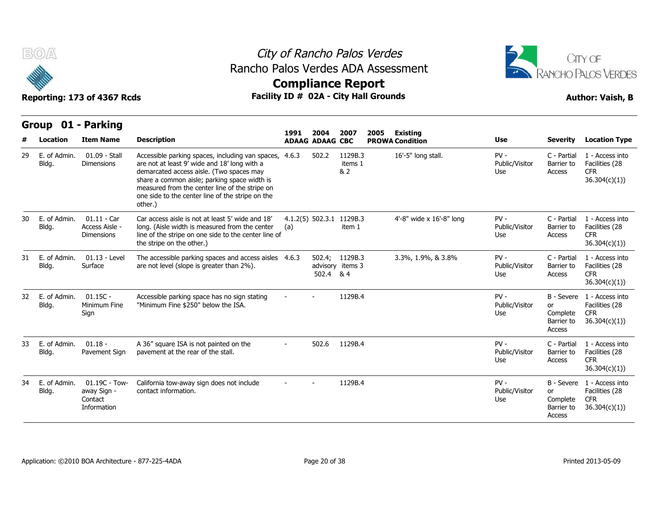



|    |                          | Group 01 - Parking                                         |                                                                                                                                                                                                                                                                                                                     | 1991 | 2004                   |                                    |      |                                    |                                 |                                                      |                                                                            |
|----|--------------------------|------------------------------------------------------------|---------------------------------------------------------------------------------------------------------------------------------------------------------------------------------------------------------------------------------------------------------------------------------------------------------------------|------|------------------------|------------------------------------|------|------------------------------------|---------------------------------|------------------------------------------------------|----------------------------------------------------------------------------|
|    | Location                 | <b>Item Name</b>                                           | <b>Description</b>                                                                                                                                                                                                                                                                                                  |      | <b>ADAAG ADAAG CBC</b> | 2007                               | 2005 | Existing<br><b>PROWA Condition</b> | Use                             | <b>Severity</b>                                      | <b>Location Type</b>                                                       |
| 29 | Ε.<br>of Admin.<br>Bldg. | 01.09 - Stall<br><b>Dimensions</b>                         | Accessible parking spaces, including van spaces, 4.6.3<br>are not at least 9' wide and 18' long with a<br>demarcated access aisle. (Two spaces may<br>share a common aisle; parking space width is<br>measured from the center line of the stripe on<br>one side to the center line of the stripe on the<br>other.) |      | 502.2                  | 1129B.3<br>items 1<br>& 2          |      | 16'-5" long stall.                 | $PV -$<br>Public/Visitor<br>Use | C - Partial<br>Barrier to<br>Access                  | 1 - Access into<br>Facilities (28<br><b>CFR</b><br>36.304(c)(1)            |
| 30 | E. of Admin.<br>Bldg.    | $01.11 - Car$<br>Access Aisle -<br><b>Dimensions</b>       | Car access aisle is not at least 5' wide and 18'<br>long. (Aisle width is measured from the center<br>line of the stripe on one side to the center line of<br>the stripe on the other.)                                                                                                                             | (a)  |                        | 4.1.2(5) 502.3.1 1129B.3<br>item 1 |      | 4'-8" wide x 16'-8" long           | $PV -$<br>Public/Visitor<br>Use | C - Partial<br>Barrier to<br>Access                  | 1 - Access into<br>Facilities (28<br><b>CFR</b><br>36.304(c)(1)            |
| 31 | E. of Admin.<br>Bldg.    | $01.13 - Level$<br>Surface                                 | The accessible parking spaces and access aisles 4.6.3<br>are not level (slope is greater than 2%).                                                                                                                                                                                                                  |      | 502.4 & 4              | 502.4; 1129B.3<br>advisory items 3 |      | 3.3%, 1.9%, & 3.8%                 | $PV -$<br>Public/Visitor<br>Use | C - Partial<br>Barrier to<br>Access                  | 1 - Access into<br>Facilities (28<br><b>CFR</b><br>36.304(c)(1)            |
| 32 | E. of Admin.<br>Bldg.    | $01.15C -$<br>Minimum Fine<br>Sign                         | Accessible parking space has no sign stating<br>"Minimum Fine \$250" below the ISA.                                                                                                                                                                                                                                 |      |                        | 1129B.4                            |      |                                    | $PV -$<br>Public/Visitor<br>Use | or<br>Complete<br>Barrier to<br>Access               | B - Severe 1 - Access into<br>Facilities (28<br><b>CFR</b><br>36.304(c)(1) |
| 33 | E. of Admin.<br>Bldg.    | $01.18 -$<br>Pavement Sign                                 | A 36" square ISA is not painted on the<br>pavement at the rear of the stall.                                                                                                                                                                                                                                        |      | 502.6                  | 1129B.4                            |      |                                    | $PV -$<br>Public/Visitor<br>Use | C - Partial<br>Barrier to<br>Access                  | 1 - Access into<br>Facilities (28<br><b>CFR</b><br>36.304(c)(1)            |
| 34 | E. of Admin.<br>Bldg.    | $01.19C - Town -$<br>away Sign -<br>Contact<br>Information | California tow-away sign does not include<br>contact information.                                                                                                                                                                                                                                                   |      |                        | 1129B.4                            |      |                                    | $PV -$<br>Public/Visitor<br>Use | B - Severe<br>or<br>Complete<br>Barrier to<br>Access | 1 - Access into<br>Facilities (28<br><b>CFR</b><br>36.304(c)(1)            |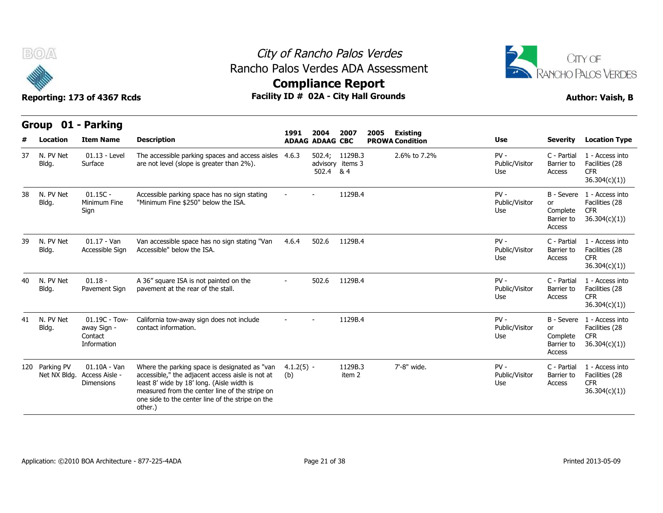



## **Compliance Report**

**Reporting: 173 of 4367 Rcds Facility ID # 02A - City Hall Grounds Author: Vaish, B**

| <b>Author: Vaish, B</b> |  |
|-------------------------|--|
|                         |  |

| Group 01 - Parking |                                |                                                           |                                                                                                                                                                                                                                                                  |                     | 2004                   | 2007                               | <b>Existing</b><br>2005 |                        |                                 |                                                      |                                                                  |
|--------------------|--------------------------------|-----------------------------------------------------------|------------------------------------------------------------------------------------------------------------------------------------------------------------------------------------------------------------------------------------------------------------------|---------------------|------------------------|------------------------------------|-------------------------|------------------------|---------------------------------|------------------------------------------------------|------------------------------------------------------------------|
|                    | Location                       | <b>Item Name</b>                                          | <b>Description</b>                                                                                                                                                                                                                                               | 1991                | <b>ADAAG ADAAG CBC</b> |                                    |                         | <b>PROWA Condition</b> | <b>Use</b>                      | <b>Severity</b>                                      | <b>Location Type</b>                                             |
| 37                 | N. PV Net<br>Bldg.             | $01.13 - Level$<br>Surface                                | The accessible parking spaces and access aisles<br>are not level (slope is greater than 2%).                                                                                                                                                                     | 4.6.3               | 502.4 & 4              | 502.4; 1129B.3<br>advisory items 3 |                         | 2.6% to 7.2%           | $PV -$<br>Public/Visitor<br>Use | C - Partial<br>Barrier to<br>Access                  | 1 - Access into<br>Facilities (28<br><b>CFR</b><br>36.304(c)(1)) |
| 38                 | N. PV Net<br>Bldg.             | $01.15C -$<br>Minimum Fine<br>Sign                        | Accessible parking space has no sign stating<br>"Minimum Fine \$250" below the ISA.                                                                                                                                                                              |                     |                        | 1129B.4                            |                         |                        | $PV -$<br>Public/Visitor<br>Use | B - Severe<br>or<br>Complete<br>Barrier to<br>Access | 1 - Access into<br>Facilities (28<br><b>CFR</b><br>36.304(c)(1)  |
| 39                 | N. PV Net<br>Bldg.             | $01.17 - Van$<br>Accessible Sign                          | Van accessible space has no sign stating "Van<br>Accessible" below the ISA.                                                                                                                                                                                      | 4.6.4               | 502.6                  | 1129B.4                            |                         |                        | $PV -$<br>Public/Visitor<br>Use | C - Partial<br>Barrier to<br>Access                  | 1 - Access into<br>Facilities (28<br><b>CFR</b><br>36.304(c)(1)) |
| 40                 | N. PV Net<br>Bldg.             | $01.18 -$<br>Pavement Sign                                | A 36" square ISA is not painted on the<br>pavement at the rear of the stall.                                                                                                                                                                                     |                     | 502.6                  | 1129B.4                            |                         |                        | $PV -$<br>Public/Visitor<br>Use | C - Partial<br>Barrier to<br>Access                  | 1 - Access into<br>Facilities (28<br><b>CFR</b><br>36.304(c)(1)) |
| 41                 | N. PV Net<br>Bldg.             | $01.19C - Town-$<br>away Sign -<br>Contact<br>Information | California tow-away sign does not include<br>contact information.                                                                                                                                                                                                |                     |                        | 1129B.4                            |                         |                        | $PV -$<br>Public/Visitor<br>Use | B - Severe<br>or<br>Complete<br>Barrier to<br>Access | 1 - Access into<br>Facilities (28<br><b>CFR</b><br>36.304(c)(1)) |
|                    | 120 Parking PV<br>Net NX Bldg. | $01.10A - Van$<br>Access Aisle -<br><b>Dimensions</b>     | Where the parking space is designated as "van<br>accessible," the adjacent access aisle is not at<br>least 8' wide by 18' long. (Aisle width is<br>measured from the center line of the stripe on<br>one side to the center line of the stripe on the<br>other.) | $4.1.2(5) -$<br>(b) |                        | 1129B.3<br>item 2                  |                         | 7'-8" wide.            | $PV -$<br>Public/Visitor<br>Use | C - Partial<br>Barrier to<br>Access                  | 1 - Access into<br>Facilities (28<br><b>CFR</b><br>36.304(c)(1)) |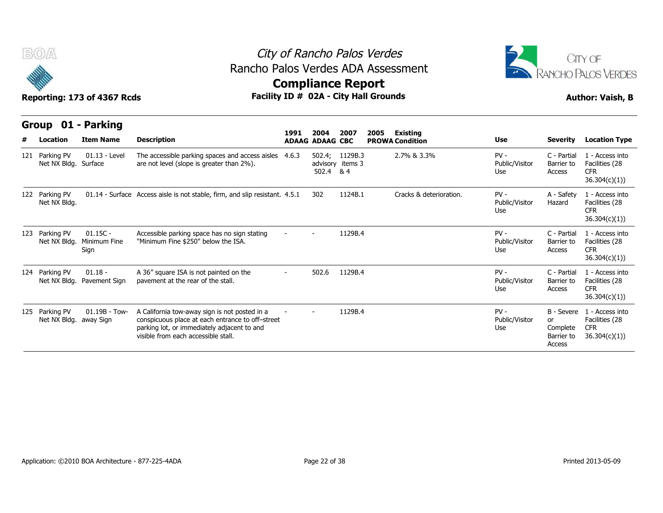



Reporting: 173 of 4367 Rcds **Facility ID # 02A - City Hall Grounds Author: Vaish, B Compliance Report**

#### **Group 01 - Parking Item Name Description 1991 ADAAG 2004 ADAAG CBC PROWA 2007 2005 Existing # Location Condition Use Severity Location Type** 01.13 - Level Surface are not level (slope is greater than 2%). The accessible parking spaces and access aisles 4.6.3 502.4: 1129B.3 advisory items 3 502.4 & 4 1129B.3 2.7% & 3.3% PV - Public/Visitor Barrier to Use Access C - Partial 1 - Access into Barrier to Facilities (28 CFR 36.304(c)(1)) **121 Parking PV 01.13 - L<br>
Reporting: 173 of 436<br>
Group 01 - Parkin<br>
121 Parking PV 01.13 - L<br>
Net NX Bldg. Surface** Net NX Bldg. Surface 01.14 - Surface Access aisle is not stable, firm, and slip resistant. 4.5.1 302 1124B.1 Cracks & deterioration. Use<br>
1991. 2004 2007 2005 Existing<br>
2.7% & 3.3% PV - and access aisle parking spaces and access aisles 4.6.3 5 Public/Visitor Hazard Use A - Safety 1 - Access into Hazard Facilities (28 CFR 36.304(c)(1)) **Reporting: 173 of 436**<br> **Group 01 - Parkin**<br>
# Location Item Nan<br>
121 Parking PV 01.13 - L<br>
Net NX Bldg. Surface<br>
122 Parking PV 01.14 - S<br>
Net NX Bldg. Net NX Bldg. 01.15C - Net NX Bldg. Minimum Fine "Minimum **Sign** Accessible parking space has no sign stating "Minimum Fine \$250" below the ISA. - - 1129B.4 PV - Public/Visitor Use Access C - Partial 1 - Access into Barrier to Facilities (28 CFR 36.304(c)(1)) **Example 101 - Parkins<br>
# Location Item Nan<br>
121 Parking PV 01.13 - L<br>
Net NX Bldg. Surface<br>
122 Parking PV 01.14 - S<br>
Net NX Bldg.<br>
123 Parking PV 01.15C -<br>
Net NX Bldg. Minimum F<br>
Sign**  01.18 pavement at the rear of the stall. A 36" square ISA is not painted on the pavement at the rear of the stall. - 502.6 1129B.4 PV - Public/Visitor Barrier to Use Access C - Partial 1 - Access into Barrier to Facilities (28 CFR 36.304(c)(1)) Net NX Bldg. Surface<br>
122 Parking PV 01.14 - S<br>
Net NX Bldg.<br>
123 Parking PV 01.15C -<br>
Net NX Bldg. Minimum F<br>
Sign<br>
124 Parking PV 01.18 -<br>
Net NX Bldg. Pavement Net NX Bldg. Pavement Sign 01.19B - Towaway Sign conspicuous place at each entrance to off–street A California tow-away sign is not posted in a parking lot, or immediately adjacent to and A California tow-away sign is not posted in a statement of the statement of the statement of the statement of the scalifornia townspicuous place at each entrance to off-street and the parking lot, or immediately adjacent t Public/Visitor or Use Complete B - Severe 1 - Access into or Facilities (28 Barrier to 36.304(c)(1)) Access CFR Net NX Bldg.<br>
123 Parking PV 01.15C -<br>
Net NX Bldg. Minimum F<br>
124 Parking PV 01.18 -<br>
Net NX Bldg. Pavement<br>
125 Parking PV 01.19B -<br>
Net NX Bldg. away Sign Net NX Bldg. away Sign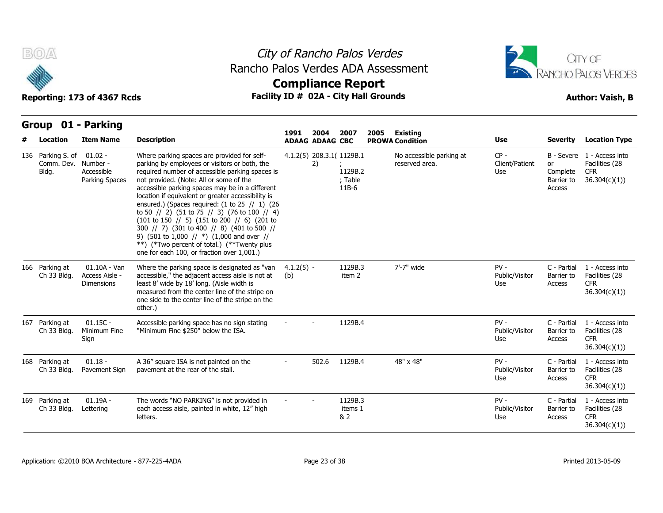

## City of Rancho Palos Verdes Rancho Palos Verdes ADA Assessment



| B(0)                                     | Reporting: 173 of 4367 Rcds                           | Rancho Palos Verdes ADA Assessment                                                                                                                                                                                                                                                                                                                                                                                                                                                                                                                                                                                                                                                                                                                | <b>Compliance Report</b> |                                |                                                          | City of Rancho Palos Verdes<br>Facility ID # 02A - City Hall Grounds |                                            |                                 |                                        | CITY OF<br><b>RANCHO PALOS VERDES</b><br><b>Author: Vaish, B</b>           |
|------------------------------------------|-------------------------------------------------------|---------------------------------------------------------------------------------------------------------------------------------------------------------------------------------------------------------------------------------------------------------------------------------------------------------------------------------------------------------------------------------------------------------------------------------------------------------------------------------------------------------------------------------------------------------------------------------------------------------------------------------------------------------------------------------------------------------------------------------------------------|--------------------------|--------------------------------|----------------------------------------------------------|----------------------------------------------------------------------|--------------------------------------------|---------------------------------|----------------------------------------|----------------------------------------------------------------------------|
| <b>Group</b><br>Location                 | 01 - Parking<br><b>Item Name</b>                      | <b>Description</b>                                                                                                                                                                                                                                                                                                                                                                                                                                                                                                                                                                                                                                                                                                                                | 1991                     | 2004<br><b>ADAAG ADAAG CBC</b> | 2007                                                     | 2005                                                                 | <b>Existing</b><br><b>PROWA Condition</b>  | Use                             | <b>Severity</b>                        | <b>Location Type</b>                                                       |
| 136 Parking S. of<br>Comm. Dev.<br>Bldg. | 01.02 -<br>Number -<br>Accessible<br>Parking Spaces   | Where parking spaces are provided for self-<br>parking by employees or visitors or both, the<br>required number of accessible parking spaces is<br>not provided. (Note: All or some of the<br>accessible parking spaces may be in a different<br>location if equivalent or greater accessibility is<br>ensured.) (Spaces required: $(1 to 25 / 1)$ $(26)$<br>to 50 $\frac{1}{2}$ (51 to 75 $\frac{1}{3}$ ) (76 to 100 $\frac{1}{4}$ )<br>$(101 \text{ to } 150 \text{ )} / (5)$ $(151 \text{ to } 200 \text{ )} / (6)$ $(201 \text{ to } 150 \text{ )}$<br>300 // 7) (301 to 400 // 8) (401 to 500 //<br>9) (501 to 1,000 // $*)$ (1,000 and over //<br>**) (*Two percent of total.) (**Twenty plus<br>one for each 100, or fraction over 1,001.) |                          | 2)                             | 4.1.2(5) 208.3.1( 1129B.1<br>1129B.2<br>; Table<br>11B-6 |                                                                      | No accessible parking at<br>reserved area. | $CP -$<br>Client/Patient<br>Use | or<br>Complete<br>Barrier to<br>Access | B - Severe 1 - Access into<br>Facilities (28<br><b>CFR</b><br>36.304(c)(1) |
| 166 Parking at<br>Ch 33 Bldg.            | $01.10A - Van$<br>Access Aisle -<br><b>Dimensions</b> | Where the parking space is designated as "van<br>accessible," the adjacent access aisle is not at<br>least 8' wide by 18' long. (Aisle width is<br>measured from the center line of the stripe on<br>one side to the center line of the stripe on the<br>other.)                                                                                                                                                                                                                                                                                                                                                                                                                                                                                  | $4.1.2(5) -$<br>(b)      |                                | 1129B.3<br>item 2                                        |                                                                      | 7'-7" wide                                 | $PV -$<br>Public/Visitor<br>Use | C - Partial<br>Barrier to<br>Access    | 1 - Access into<br>Facilities (28<br>CFR.<br>36.304(c)(1)                  |
| 167 Parking at<br>Ch 33 Bldg.            | $01.15C -$<br>Minimum Fine<br>Sign                    | Accessible parking space has no sign stating<br>"Minimum Fine \$250" below the ISA.                                                                                                                                                                                                                                                                                                                                                                                                                                                                                                                                                                                                                                                               |                          |                                | 1129B.4                                                  |                                                                      |                                            | $PV -$<br>Public/Visitor<br>Use | C - Partial<br>Barrier to<br>Access    | 1 - Access into<br>Facilities (28<br><b>CFR</b><br>36.304(c)(1))           |
| 168 Parking at<br>Ch 33 Bldg.            | $01.18 -$<br>Pavement Sign                            | A 36" square ISA is not painted on the<br>pavement at the rear of the stall.                                                                                                                                                                                                                                                                                                                                                                                                                                                                                                                                                                                                                                                                      |                          | 502.6                          | 1129B.4                                                  |                                                                      | 48" x 48"                                  | $PV -$<br>Public/Visitor<br>Use | C - Partial<br>Barrier to<br>Access    | 1 - Access into<br>Facilities (28<br><b>CFR</b><br>36.304(c)(1)            |
| 169 Parking at<br>Ch 33 Bldg.            | $01.19A -$<br>Lettering                               | The words "NO PARKING" is not provided in<br>each access aisle, painted in white, 12" high<br>letters.                                                                                                                                                                                                                                                                                                                                                                                                                                                                                                                                                                                                                                            |                          |                                | 1129B.3<br>items 1<br>& 2                                |                                                                      |                                            | $PV -$<br>Public/Visitor<br>Use | C - Partial<br>Barrier to<br>Access    | 1 - Access into<br>Facilities (28<br><b>CFR</b><br>36.304(c)(1))           |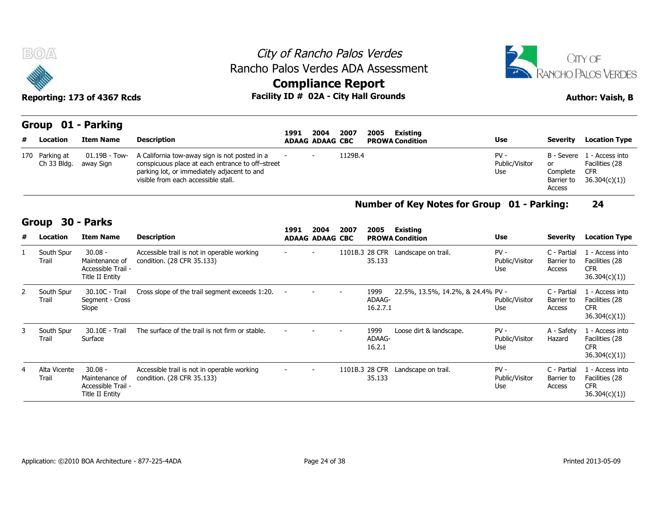

#### City of Rancho Palos Verdes Rancho Palos Verdes ADA Assessment



## **Compliance Report**

| <b>BOA</b>                    | Reporting: 173 of 4367 Rcds |                                                                                                                                                                                         | <b>Compliance Report</b> |                        |         | City of Rancho Palos Verdes<br>Rancho Palos Verdes ADA Assessment<br>Facility ID # 02A - City Hall Grounds |                                 |                                        | CITY OF<br>RANCHO PALOS VERDES<br><b>Author: Vaish, B</b>                  |
|-------------------------------|-----------------------------|-----------------------------------------------------------------------------------------------------------------------------------------------------------------------------------------|--------------------------|------------------------|---------|------------------------------------------------------------------------------------------------------------|---------------------------------|----------------------------------------|----------------------------------------------------------------------------|
|                               | Group 01 - Parking          |                                                                                                                                                                                         | 1991                     | 2004                   | 2007    | Existing<br>2005                                                                                           |                                 |                                        |                                                                            |
| # Location                    | <b>Item Name</b>            | <b>Description</b>                                                                                                                                                                      |                          | <b>ADAAG ADAAG CBC</b> |         | <b>PROWA Condition</b>                                                                                     | Use                             | Severity                               | <b>Location Type</b>                                                       |
| 170 Parking at<br>Ch 33 Bldg. | 01.19B - Tow-<br>away Sign  | A California tow-away sign is not posted in a<br>conspicuous place at each entrance to off-street<br>parking lot, or immediately adjacent to and<br>visible from each accessible stall. |                          |                        | 1129B.4 |                                                                                                            | $PV -$<br>Public/Visitor<br>Use | or<br>Complete<br>Barrier to<br>Access | B - Severe 1 - Access into<br>Facilities (28<br><b>CFR</b><br>36.304(c)(1) |

#### **Number of Key Notes for Group 01 - Parking: 24**

|   | 170 Parking at<br>Ch 33 Bldg. | 01.19B - Tow-<br>away Sign                                                  | A California tow-away sign is not posted in a<br>conspicuous place at each entrance to off-street<br>parking lot, or immediately adjacent to and<br>visible from each accessible stall. |      |                                | 1129B.4 |                            |                                             | $PV -$<br>Public/Visitor<br>Use | B - Severe<br>or<br>Complete<br>Barrier to<br>Access | 1 - Access into<br>Facilities (28<br><b>CFR</b><br>36.304(c)(1)) |
|---|-------------------------------|-----------------------------------------------------------------------------|-----------------------------------------------------------------------------------------------------------------------------------------------------------------------------------------|------|--------------------------------|---------|----------------------------|---------------------------------------------|---------------------------------|------------------------------------------------------|------------------------------------------------------------------|
|   |                               |                                                                             |                                                                                                                                                                                         |      |                                |         |                            | Number of Key Notes for Group 01 - Parking: |                                 |                                                      | 24                                                               |
| # | Group<br>Location             | 30 - Parks<br><b>Item Name</b>                                              | <b>Description</b>                                                                                                                                                                      | 1991 | 2004<br><b>ADAAG ADAAG CBC</b> | 2007    | 2005                       | <b>Existing</b><br><b>PROWA Condition</b>   | <b>Use</b>                      | <b>Severity</b>                                      | <b>Location Type</b>                                             |
|   | South Spur<br>Trail           | $30.08 -$<br>Maintenance of<br>Accessible Trail -<br>Title II Entity        | Accessible trail is not in operable working<br>condition. (28 CFR 35.133)                                                                                                               |      |                                |         | 35.133                     | 1101B.3 28 CFR Landscape on trail.          | $PV -$<br>Public/Visitor<br>Use | C - Partial<br>Barrier to<br>Access                  | 1 - Access into<br>Facilities (28<br><b>CFR</b><br>36.304(c)(1)) |
| 2 | South Spur<br>Trail           | 30.10C - Trail<br>Segment - Cross<br>Slope                                  | Cross slope of the trail segment exceeds 1:20.                                                                                                                                          |      |                                |         | 1999<br>ADAAG-<br>16.2.7.1 | 22.5%, 13.5%, 14.2%, & 24.4% PV -           | Public/Visitor<br>Use           | C - Partial<br>Barrier to<br>Access                  | 1 - Access into<br>Facilities (28<br><b>CFR</b><br>36.304(c)(1)) |
| 3 | South Spur<br>Trail           | 30.10E - Trail<br>Surface                                                   | The surface of the trail is not firm or stable.                                                                                                                                         |      |                                |         | 1999<br>ADAAG-<br>16.2.1   | Loose dirt & landscape.                     | $PV -$<br>Public/Visitor<br>Use | A - Safety<br>Hazard                                 | 1 - Access into<br>Facilities (28<br><b>CFR</b><br>36.304(c)(1)) |
| 4 | Alta Vicente<br>Trail         | $30.08 -$<br>Maintenance of<br>Accessible Trail -<br><b>Title II Entity</b> | Accessible trail is not in operable working<br>condition. (28 CFR 35.133)                                                                                                               |      |                                |         | 1101B.3 28 CFR<br>35.133   | Landscape on trail.                         | $PV -$<br>Public/Visitor<br>Use | C - Partial<br>Barrier to<br>Access                  | 1 - Access into<br>Facilities (28<br><b>CFR</b><br>36.304(c)(1)  |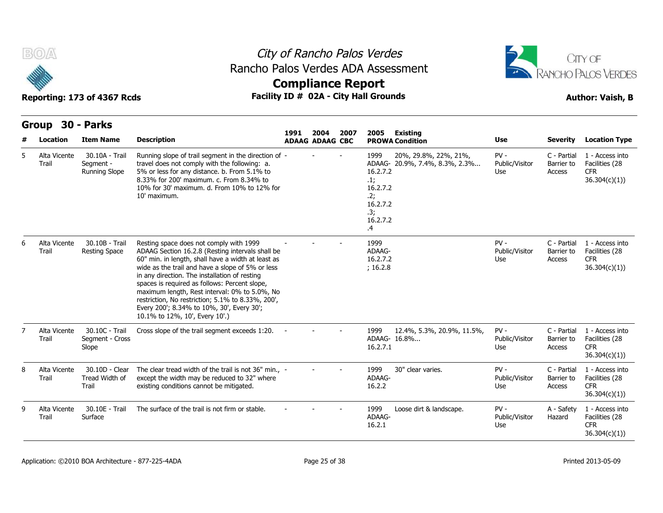

### City of Rancho Palos Verdes **Compliance Report** Rancho Palos Verdes ADA Assessment



|   | <b>Group</b>          | 30 - Parks                                          |                                                                                                                                                                                                                                                                                                                                                                                                                                                                                              |      |                                |      |                                                                                 |                                                         |                                 |                                     |                                                                  |
|---|-----------------------|-----------------------------------------------------|----------------------------------------------------------------------------------------------------------------------------------------------------------------------------------------------------------------------------------------------------------------------------------------------------------------------------------------------------------------------------------------------------------------------------------------------------------------------------------------------|------|--------------------------------|------|---------------------------------------------------------------------------------|---------------------------------------------------------|---------------------------------|-------------------------------------|------------------------------------------------------------------|
| # | Location              | <b>Item Name</b>                                    | <b>Description</b>                                                                                                                                                                                                                                                                                                                                                                                                                                                                           | 1991 | 2004<br><b>ADAAG ADAAG CBC</b> | 2007 | 2005                                                                            | <b>Existing</b><br><b>PROWA Condition</b>               | <b>Use</b>                      | <b>Severity</b>                     | <b>Location Type</b>                                             |
| 5 | Alta Vicente<br>Trail | 30.10A - Trail<br>Segment -<br><b>Running Slope</b> | Running slope of trail segment in the direction of -<br>travel does not comply with the following: a.<br>5% or less for any distance. b. From 5.1% to<br>8.33% for 200' maximum. c. From 8.34% to<br>10% for 30' maximum. d. From 10% to 12% for<br>10' maximum.                                                                                                                                                                                                                             |      |                                |      | 1999<br>16.2.7.2<br>.1;<br>16.2.7.2<br>.2;<br>16.2.7.2<br>.3;<br>16.2.7.2<br>.4 | 20%, 29.8%, 22%, 21%,<br>ADAAG- 20.9%, 7.4%, 8.3%, 2.3% | $PV -$<br>Public/Visitor<br>Use | C - Partial<br>Barrier to<br>Access | 1 - Access into<br>Facilities (28<br><b>CFR</b><br>36.304(c)(1)) |
| 6 | Alta Vicente<br>Trail | 30.10B - Trail<br><b>Resting Space</b>              | Resting space does not comply with 1999<br>ADAAG Section 16.2.8 (Resting intervals shall be<br>60" min. in length, shall have a width at least as<br>wide as the trail and have a slope of 5% or less<br>in any direction. The installation of resting<br>spaces is required as follows: Percent slope,<br>maximum length, Rest interval: 0% to 5.0%, No<br>restriction, No restriction; 5.1% to 8.33%, 200',<br>Every 200'; 8.34% to 10%, 30', Every 30';<br>10.1% to 12%, 10', Every 10'.) |      |                                |      | 1999<br>ADAAG-<br>16.2.7.2<br>; 16.2.8                                          |                                                         | $PV -$<br>Public/Visitor<br>Use | C - Partial<br>Barrier to<br>Access | 1 - Access into<br>Facilities (28<br><b>CFR</b><br>36.304(c)(1)) |
|   | Alta Vicente<br>Trail | 30.10C - Trail<br>Segment - Cross<br>Slope          | Cross slope of the trail segment exceeds 1:20.                                                                                                                                                                                                                                                                                                                                                                                                                                               |      |                                |      | 1999<br>ADAAG- 16.8%<br>16.2.7.1                                                | 12.4%, 5.3%, 20.9%, 11.5%,                              | $PV -$<br>Public/Visitor<br>Use | C - Partial<br>Barrier to<br>Access | 1 - Access into<br>Facilities (28<br><b>CFR</b><br>36.304(c)(1)  |
| 8 | Alta Vicente<br>Trail | 30.10D - Clear<br>Tread Width of<br>Trail           | The clear tread width of the trail is not 36" min., -<br>except the width may be reduced to 32" where<br>existing conditions cannot be mitigated.                                                                                                                                                                                                                                                                                                                                            |      |                                |      | 1999<br>ADAAG-<br>16.2.2                                                        | 30" clear varies.                                       | $PV -$<br>Public/Visitor<br>Use | C - Partial<br>Barrier to<br>Access | 1 - Access into<br>Facilities (28<br><b>CFR</b><br>36.304(c)(1)) |
| 9 | Alta Vicente<br>Trail | 30.10E - Trail<br>Surface                           | The surface of the trail is not firm or stable.                                                                                                                                                                                                                                                                                                                                                                                                                                              |      |                                |      | 1999<br>ADAAG-<br>16.2.1                                                        | Loose dirt & landscape.                                 | $PV -$<br>Public/Visitor<br>Use | A - Safety<br>Hazard                | 1 - Access into<br>Facilities (28<br><b>CFR</b><br>36.304(c)(1)  |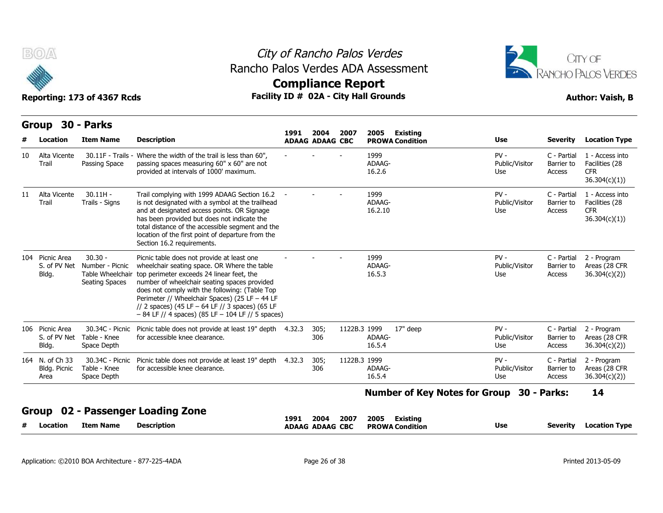



|    | Group                                    | 30 - Parks                                                         |                                                                                                                                                                                                                                                                                                                                                                                                         |        |                                |              |                                            |                                 |                                            |                                                                 |
|----|------------------------------------------|--------------------------------------------------------------------|---------------------------------------------------------------------------------------------------------------------------------------------------------------------------------------------------------------------------------------------------------------------------------------------------------------------------------------------------------------------------------------------------------|--------|--------------------------------|--------------|--------------------------------------------|---------------------------------|--------------------------------------------|-----------------------------------------------------------------|
| #  | Location                                 | <b>Item Name</b>                                                   | <b>Description</b>                                                                                                                                                                                                                                                                                                                                                                                      | 1991   | 2004<br><b>ADAAG ADAAG CBC</b> | 2007         | 2005<br>Existing<br><b>PROWA Condition</b> | <b>Use</b>                      | <b>Severity</b>                            | <b>Location Type</b>                                            |
| 10 | Alta Vicente<br>Trail                    | 30.11F - Trails -<br>Passing Space                                 | Where the width of the trail is less than 60",<br>passing spaces measuring 60" x 60" are not<br>provided at intervals of 1000' maximum.                                                                                                                                                                                                                                                                 |        |                                |              | 1999<br>ADAAG-<br>16.2.6                   | $PV -$<br>Public/Visitor<br>Use | C - Partial<br>Barrier to<br>Access        | 1 - Access into<br>Facilities (28<br><b>CFR</b><br>36.304(c)(1) |
| 11 | Alta Vicente<br>Trail                    | $30.11H -$<br>Trails - Signs                                       | Trail complying with 1999 ADAAG Section 16.2<br>is not designated with a symbol at the trailhead<br>and at designated access points. OR Signage<br>has been provided but does not indicate the<br>total distance of the accessible segment and the<br>location of the first point of departure from the<br>Section 16.2 requirements.                                                                   |        |                                |              | 1999<br>ADAAG-<br>16.2.10                  | $PV -$<br>Public/Visitor<br>Use | C - Partial<br>Barrier to<br><b>Access</b> | 1 - Access into<br>Facilities (28<br><b>CFR</b><br>36.304(c)(1) |
|    | 104 Picnic Area<br>S. of PV Net<br>Bldg. | $30.30 -$<br>Number - Picnic<br>Table Wheelchair<br>Seating Spaces | Picnic table does not provide at least one<br>wheelchair seating space. OR Where the table<br>top perimeter exceeds 24 linear feet, the<br>number of wheelchair seating spaces provided<br>does not comply with the following: (Table Top<br>Perimeter // Wheelchair Spaces) (25 LF - 44 LF<br>// 2 spaces) (45 LF $-$ 64 LF // 3 spaces) (65 LF<br>$-84$ LF // 4 spaces) (85 LF $-104$ LF // 5 spaces) |        |                                |              | 1999<br>ADAAG-<br>16.5.3                   | $PV -$<br>Public/Visitor<br>Use | C - Partial<br>Barrier to<br>Access        | 2 - Program<br>Areas (28 CFR<br>36.304(c)(2)                    |
|    | 106 Picnic Area<br>S. of PV Net<br>Bldg. | 30.34C - Picnic<br>Table - Knee<br>Space Depth                     | Picnic table does not provide at least 19" depth<br>for accessible knee clearance.                                                                                                                                                                                                                                                                                                                      | 4.32.3 | 305;<br>306                    | 1122B.3 1999 | 17" deep<br>ADAAG-<br>16.5.4               | $PV -$<br>Public/Visitor<br>Use | C - Partial<br>Barrier to<br>Access        | 2 - Program<br>Areas (28 CFR<br>36.304(c)(2)                    |
|    | 164 N. of Ch 33<br>Bldg. Picnic<br>Area  | 30.34C - Picnic<br>Table - Knee<br>Space Depth                     | Picnic table does not provide at least 19" depth<br>for accessible knee clearance.                                                                                                                                                                                                                                                                                                                      | 4.32.3 | 305;<br>306                    | 1122B.3 1999 | ADAAG-<br>16.5.4                           | $PV -$<br>Public/Visitor<br>Use | C - Partial<br>Barrier to<br>Access        | 2 - Program<br>Areas (28 CFR<br>36.304(c)(2))                   |
|    |                                          |                                                                    |                                                                                                                                                                                                                                                                                                                                                                                                         |        |                                |              | Number of Key Notes for Group 30 - Parks:  |                                 |                                            | 14                                                              |
|    | Group                                    |                                                                    | 02 - Passenger Loading Zone                                                                                                                                                                                                                                                                                                                                                                             | 1991   | 2004                           | 2007         | 2005<br>Existing                           |                                 |                                            |                                                                 |
| #  | Location                                 | <b>Item Name</b>                                                   | <b>Description</b>                                                                                                                                                                                                                                                                                                                                                                                      |        | <b>ADAAG ADAAG CBC</b>         |              | <b>PROWA Condition</b>                     | <b>Use</b>                      | <b>Severity</b>                            | <b>Location Type</b>                                            |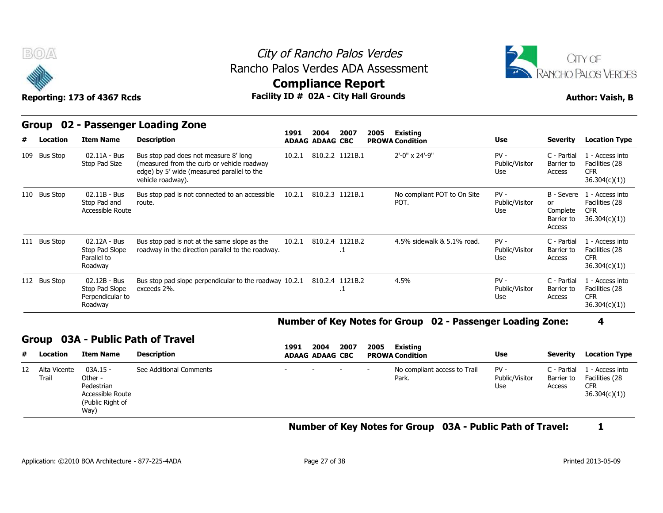



# **Compliance Report**

| <b>BOA</b>        | Reporting: 173 of 4367 Rcds                                   | Rancho Palos Verdes ADA Assessment<br>Facility ID # 02A - City Hall Grounds                                                                            | City of Rancho Palos Verdes<br><b>Compliance Report</b> |                                |                        |      |                                           |                                 |                                                      | CITY OF<br><b>RANCHO PALOS VERDES</b><br><b>Author: Vaish, B</b> |
|-------------------|---------------------------------------------------------------|--------------------------------------------------------------------------------------------------------------------------------------------------------|---------------------------------------------------------|--------------------------------|------------------------|------|-------------------------------------------|---------------------------------|------------------------------------------------------|------------------------------------------------------------------|
| Group<br>Location | <b>Item Name</b>                                              | 02 - Passenger Loading Zone<br><b>Description</b>                                                                                                      | 1991                                                    | 2004<br><b>ADAAG ADAAG CBC</b> | 2007                   | 2005 | <b>Existing</b><br><b>PROWA Condition</b> | <b>Use</b>                      | <b>Severity</b>                                      | <b>Location Type</b>                                             |
| 109 Bus Stop      | 02.11A - Bus<br>Stop Pad Size                                 | Bus stop pad does not measure 8' long<br>(measured from the curb or vehicle roadway<br>edge) by 5' wide (measured parallel to the<br>vehicle roadway). | 10.2.1                                                  |                                | 810.2.2 1121B.1        |      | 2'-0" x 24'-9"                            | $PV -$<br>Public/Visitor<br>Use | C - Partial<br>Barrier to<br>Access                  | 1 - Access into<br>Facilities (28<br><b>CFR</b><br>36.304(c)(1)) |
| 110 Bus Stop      | 02.11B - Bus<br>Stop Pad and<br>Accessible Route              | Bus stop pad is not connected to an accessible<br>route.                                                                                               | 10.2.1                                                  |                                | 810.2.3 1121B.1        |      | No compliant POT to On Site<br>POT.       | $PV -$<br>Public/Visitor<br>Use | B - Severe<br>or<br>Complete<br>Barrier to<br>Access | 1 - Access into<br>Facilities (28<br><b>CFR</b><br>36.304(c)(1)  |
| 111 Bus Stop      | 02.12A - Bus<br>Stop Pad Slope<br>Parallel to<br>Roadway      | Bus stop pad is not at the same slope as the<br>roadway in the direction parallel to the roadway.                                                      | 10.2.1                                                  |                                | 810.2.4 1121B.2        |      | 4.5% sidewalk & 5.1% road.                | $PV -$<br>Public/Visitor<br>Use | C - Partial<br>Barrier to<br>Access                  | 1 - Access into<br>Facilities (28<br><b>CFR</b><br>36.304(c)(1)) |
| 112 Bus Stop      | 02.12B - Bus<br>Stop Pad Slope<br>Perpendicular to<br>Roadway | Bus stop pad slope perpendicular to the roadway 10.2.1<br>exceeds 2%.                                                                                  |                                                         |                                | 810.2.4 1121B.2<br>. т |      | 4.5%                                      | $PV -$<br>Public/Visitor<br>Use | C - Partial<br>Barrier to<br>Access                  | 1 - Access into<br>Facilities (28<br><b>CFR</b><br>36.304(c)(1)  |

#### **Number of Key Notes for Group 02 - Passenger Loading Zone: 4**

#### **Group 03A - Public Path of Travel**

| #  | Location              | <b>Item Name</b>                                                                    | <b>Description</b>      | 1991   | 2004<br><b>ADAAG ADAAG CBC</b> | 2007                     | 2005                     | Existing<br><b>PROWA Condition</b>    | <b>Use</b>                      | <b>Severity</b>                     | <b>Location Type</b>                                            |
|----|-----------------------|-------------------------------------------------------------------------------------|-------------------------|--------|--------------------------------|--------------------------|--------------------------|---------------------------------------|---------------------------------|-------------------------------------|-----------------------------------------------------------------|
| 12 | Alta Vicente<br>Trail | $03A.15 -$<br>Other -<br>Pedestrian<br>Accessible Route<br>(Public Right of<br>Way) | See Additional Comments | $\sim$ | <b>Service</b>                 | <b>Contract Contract</b> | $\overline{\phantom{0}}$ | No compliant access to Trail<br>Park. | $PV -$<br>Public/Visitor<br>Use | C - Partial<br>Barrier to<br>Access | L - Access into<br>Facilities (28<br><b>CFR</b><br>36.304(c)(1) |

#### **Number of Key Notes for Group 03A - Public Path of Travel: 1**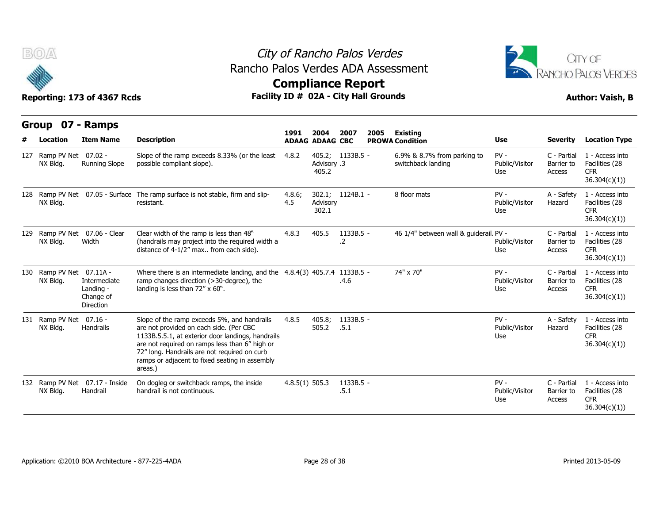

### City of Rancho Palos Verdes **Compliance Report** Rancho Palos Verdes ADA Assessment



| BOA                                  | Reporting: 173 of 4367 Rcds                         | Rancho Palos Verdes ADA Assessment<br>Facility ID # 02A - City Hall Grounds                                                                                                                                                                                                                                |                  |                                | City of Rancho Palos Verdes<br><b>Compliance Report</b> |      |                                                   |                                 |                                     | CITY OF<br><b>RANCHO PALOS VERDES</b><br><b>Author: Vaish, B</b> |
|--------------------------------------|-----------------------------------------------------|------------------------------------------------------------------------------------------------------------------------------------------------------------------------------------------------------------------------------------------------------------------------------------------------------------|------------------|--------------------------------|---------------------------------------------------------|------|---------------------------------------------------|---------------------------------|-------------------------------------|------------------------------------------------------------------|
| Group 07 - Ramps<br>Location         | <b>Item Name</b>                                    | <b>Description</b>                                                                                                                                                                                                                                                                                         | 1991             | 2004<br><b>ADAAG ADAAG CBC</b> | 2007                                                    | 2005 | Existing<br><b>PROWA Condition</b>                | Use                             | <b>Severity</b>                     | <b>Location Type</b>                                             |
| 127 Ramp PV Net 07.02 -<br>NX Bldg.  | <b>Running Slope</b>                                | Slope of the ramp exceeds 8.33% (or the least<br>possible compliant slope).                                                                                                                                                                                                                                | 4.8.2            | Advisory .3<br>405.2           | 405.2; 1133B.5 -                                        |      | 6.9% & 8.7% from parking to<br>switchback landing | $PV -$<br>Public/Visitor<br>Use | C - Partial<br>Barrier to<br>Access | 1 - Access into<br>Facilities (28<br><b>CFR</b><br>36.304(c)(1)) |
| NX Bldg.                             |                                                     | 128 Ramp PV Net 07.05 - Surface The ramp surface is not stable, firm and slip-<br>resistant.                                                                                                                                                                                                               | 4.8.6;<br>4.5    | Advisory<br>302.1              | 302.1; 1124B.1 -                                        |      | 8 floor mats                                      | $PV -$<br>Public/Visitor<br>Use | A - Safety<br>Hazard                | 1 - Access into<br>Facilities (28<br><b>CFR</b><br>36.304(c)(1)  |
| NX Bldg.                             | 129 Ramp PV Net 07.06 - Clear<br>Width              | Clear width of the ramp is less than 48"<br>(handrails may project into the required width a<br>distance of 4-1/2" max from each side).                                                                                                                                                                    | 4.8.3            | 405.5                          | 1133B.5 -<br>.2                                         |      | 46 1/4" between wall & quiderail. PV -            | Public/Visitor<br>Use           | C - Partial<br>Barrier to<br>Access | 1 - Access into<br>Facilities (28<br><b>CFR</b><br>36.304(c)(1)  |
| 130 Ramp PV Net 07.11A -<br>NX Bldg. | Intermediate<br>Landing -<br>Change of<br>Direction | Where there is an intermediate landing, and the 4.8.4(3) 405.7.4 1133B.5 -<br>ramp changes direction (>30-degree), the<br>landing is less than 72" x 60".                                                                                                                                                  |                  |                                | .4.6                                                    |      | 74" x 70"                                         | $PV -$<br>Public/Visitor<br>Use | C - Partial<br>Barrier to<br>Access | 1 - Access into<br>Facilities (28<br><b>CFR</b><br>36.304(c)(1)  |
| 131 Ramp PV Net 07.16 -<br>NX Bldg.  | Handrails                                           | Slope of the ramp exceeds 5%, and handrails<br>are not provided on each side. (Per CBC<br>1133B.5.5.1, at exterior door landings, handrails<br>are not required on ramps less than 6" high or<br>72" long. Handrails are not required on curb<br>ramps or adjacent to fixed seating in assembly<br>areas.) | 4.8.5            | 405.8;<br>505.2                | 1133B.5 -<br>.5.1                                       |      |                                                   | $PV -$<br>Public/Visitor<br>Use | A - Safety<br>Hazard                | 1 - Access into<br>Facilities (28<br><b>CFR</b><br>36.304(c)(1)  |
| NX Bldg.                             | 132 Ramp PV Net 07.17 - Inside<br>Handrail          | On dogleg or switchback ramps, the inside<br>handrail is not continuous.                                                                                                                                                                                                                                   | $4.8.5(1)$ 505.3 |                                | 1133B.5 -<br>.5.1                                       |      |                                                   | $PV -$<br>Public/Visitor<br>Use | C - Partial<br>Barrier to<br>Access | 1 - Access into<br>Facilities (28<br><b>CFR</b><br>36.304(c)(1)  |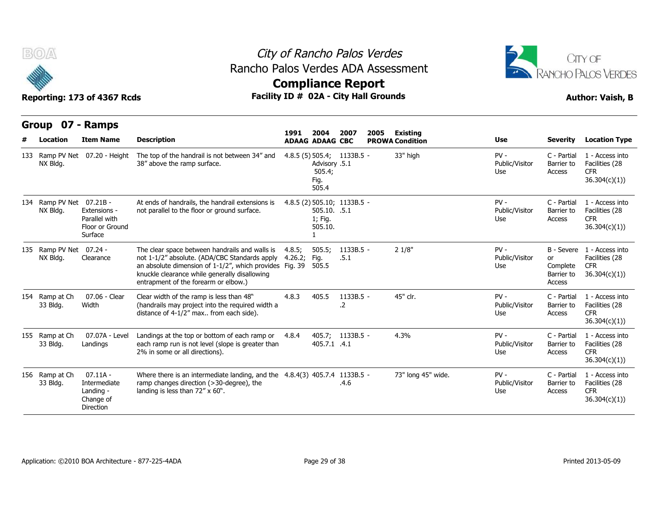



| B(0)                                 | Reporting: 173 of 4367 Rcds                                       | Rancho Palos Verdes ADA Assessment<br>Facility ID # 02A - City Hall Grounds                                                                                                                                                                                       | City of Rancho Palos Verdes<br><b>Compliance Report</b> |                                          |                             |      |                                           |                                 |                                        | CITY OF<br><b>RANCHO PALOS VERDES</b><br><b>Author: Vaish, B</b>           |
|--------------------------------------|-------------------------------------------------------------------|-------------------------------------------------------------------------------------------------------------------------------------------------------------------------------------------------------------------------------------------------------------------|---------------------------------------------------------|------------------------------------------|-----------------------------|------|-------------------------------------------|---------------------------------|----------------------------------------|----------------------------------------------------------------------------|
| Group 07 - Ramps<br>Location         | <b>Item Name</b>                                                  | <b>Description</b>                                                                                                                                                                                                                                                | 1991<br><b>ADAAG ADAAG CBC</b>                          | 2004                                     | 2007                        | 2005 | <b>Existing</b><br><b>PROWA Condition</b> | Use                             | <b>Severity</b>                        | <b>Location Type</b>                                                       |
| NX Bldg.                             | 133 Ramp PV Net 07.20 - Height                                    | The top of the handrail is not between $34''$ and $4.8.5$ (5) 505.4; 1133B.5 -<br>38" above the ramp surface.                                                                                                                                                     |                                                         | Advisory .5.1<br>505.4;<br>Fig.<br>505.4 |                             |      | 33" high                                  | $PV -$<br>Public/Visitor<br>Use | C - Partial<br>Barrier to<br>Access    | 1 - Access into<br>Facilities (28<br><b>CFR</b><br>36.304(c)(1)            |
| 134 Ramp PV Net 07.21B -<br>NX Bldg. | Extensions -<br>Parallel with<br>Floor or Ground<br>Surface       | At ends of handrails, the handrail extensions is<br>not parallel to the floor or ground surface.                                                                                                                                                                  |                                                         | 505.10. .5.1<br>1; Fig.<br>505.10.       | 4.8.5 (2) 505.10; 1133B.5 - |      |                                           | $PV -$<br>Public/Visitor<br>Use | C - Partial<br>Barrier to<br>Access    | 1 - Access into<br>Facilities (28<br><b>CFR</b><br>36.304(c)(1)            |
| 135 Ramp PV Net 07.24 -<br>NX Bldg.  | Clearance                                                         | The clear space between handrails and walls is<br>not 1-1/2" absolute. (ADA/CBC Standards apply 4.26.2;<br>an absolute dimension of 1-1/2", which provides Fig. 39 505.5<br>knuckle clearance while generally disallowing<br>entrapment of the forearm or elbow.) | 4.8.5;                                                  | 505.5;<br>Fig.                           | 1133B.5 -<br>.5.1           |      | 21/8"                                     | $PV -$<br>Public/Visitor<br>Use | or<br>Complete<br>Barrier to<br>Access | B - Severe 1 - Access into<br>Facilities (28<br><b>CFR</b><br>36.304(c)(1) |
| 154 Ramp at Ch<br>33 Bldg.           | 07.06 - Clear<br>Width                                            | Clear width of the ramp is less than 48"<br>(handrails may project into the required width a<br>distance of 4-1/2" max from each side).                                                                                                                           | 4.8.3                                                   | 405.5                                    | 1133B.5 -<br>.2             |      | 45" clr.                                  | $PV -$<br>Public/Visitor<br>Use | C - Partial<br>Barrier to<br>Access    | 1 - Access into<br>Facilities (28<br>CFR.<br>36.304(c)(1)                  |
| 155 Ramp at Ch<br>33 Bldg.           | 07.07A - Level<br>Landings                                        | Landings at the top or bottom of each ramp or<br>each ramp run is not level (slope is greater than<br>2% in some or all directions).                                                                                                                              | 4.8.4                                                   | 405.7.1 .4.1                             | 405.7; 1133B.5 -            |      | 4.3%                                      | $PV -$<br>Public/Visitor<br>Use | C - Partial<br>Barrier to<br>Access    | 1 - Access into<br>Facilities (28<br><b>CFR</b><br>36.304(c)(1))           |
| 156 Ramp at Ch<br>33 Bldg.           | $07.11A -$<br>Intermediate<br>Landing -<br>Change of<br>Direction | Where there is an intermediate landing, and the $4.8.4(3)$ 405.7.4 1133B.5 -<br>ramp changes direction (>30-degree), the<br>landing is less than 72" x 60".                                                                                                       |                                                         |                                          | .4.6                        |      | 73" long 45" wide.                        | $PV -$<br>Public/Visitor<br>Use | C - Partial<br>Barrier to<br>Access    | 1 - Access into<br>Facilities (28<br><b>CFR</b><br>36.304(c)(1)            |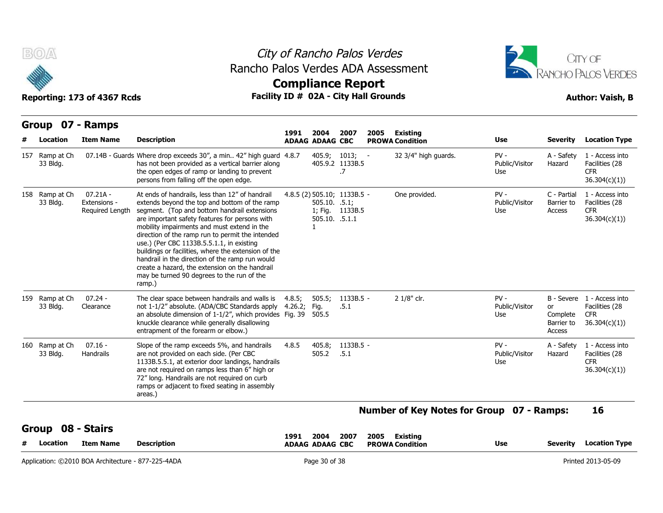



| <b>Compliance Report</b>                                                                                                                                                                                                                                                                                                                                                                                                |  |
|-------------------------------------------------------------------------------------------------------------------------------------------------------------------------------------------------------------------------------------------------------------------------------------------------------------------------------------------------------------------------------------------------------------------------|--|
| $F_{\text{max}}(t) = \mathbf{F} \mathbf{D} \mathbf{A} + \mathbf{A} \mathbf{D} \mathbf{A} + \mathbf{A} \mathbf{D} \mathbf{A} + \mathbf{A} \mathbf{D} \mathbf{D} \mathbf{D} \mathbf{D} \mathbf{D} \mathbf{D} \mathbf{D} \mathbf{D} \mathbf{D} \mathbf{D} \mathbf{D} \mathbf{D} \mathbf{D} \mathbf{D} \mathbf{D} \mathbf{D} \mathbf{D} \mathbf{D} \mathbf{D} \mathbf{D} \mathbf{D} \mathbf{D} \mathbf{D} \mathbf{D} \math$ |  |

| B(0)                                   | Reporting: 173 of 4367 Rcds                   | City of Rancho Palos Verdes<br>Rancho Palos Verdes ADA Assessment<br>Facility ID # 02A - City Hall Grounds                                                                                                                                                                                                                                                                                                                                                                                                                                                             |        | <b>Compliance Report</b>                                                         |                       |            |                                                |                                        | CITY OF<br>RANCHO PALOS VERDES<br><b>Author: Vaish, B</b> |                                                                                         |  |  |  |
|----------------------------------------|-----------------------------------------------|------------------------------------------------------------------------------------------------------------------------------------------------------------------------------------------------------------------------------------------------------------------------------------------------------------------------------------------------------------------------------------------------------------------------------------------------------------------------------------------------------------------------------------------------------------------------|--------|----------------------------------------------------------------------------------|-----------------------|------------|------------------------------------------------|----------------------------------------|-----------------------------------------------------------|-----------------------------------------------------------------------------------------|--|--|--|
| Group                                  | 07 - Ramps<br><b>Item Name</b>                | <b>Description</b>                                                                                                                                                                                                                                                                                                                                                                                                                                                                                                                                                     | 1991   | 2004                                                                             | 2007                  | 2005       | Existing                                       |                                        |                                                           |                                                                                         |  |  |  |
| Location<br>157 Ramp at Ch<br>33 Bldg. |                                               | 07.14B - Guards Where drop exceeds 30", a min 42" high guard 4.8.7<br>has not been provided as a vertical barrier along<br>the open edges of ramp or landing to prevent<br>persons from falling off the open edge.                                                                                                                                                                                                                                                                                                                                                     |        | <b>ADAAG ADAAG CBC</b><br>405.9; 1013;                                           | 405.9.2 1133B.5<br>.7 | $\sim$ $-$ | <b>PROWA Condition</b><br>32 3/4" high guards. | Use<br>$PV -$<br>Public/Visitor<br>Use | <b>Severity</b><br>A - Safety<br>Hazard                   | <b>Location Type</b><br>1 - Access into<br>Facilities (28<br><b>CFR</b><br>36.304(c)(1) |  |  |  |
| 158 Ramp at Ch<br>33 Bldg.             | $07.21A -$<br>Extensions -<br>Required Length | At ends of handrails, less than 12" of handrail<br>extends beyond the top and bottom of the ramp<br>segment. (Top and bottom handrail extensions<br>are important safety features for persons with<br>mobility impairments and must extend in the<br>direction of the ramp run to permit the intended<br>use.) (Per CBC 1133B.5.5.1.1, in existing<br>buildings or facilities, where the extension of the<br>handrail in the direction of the ramp run would<br>create a hazard, the extension on the handrail<br>may be turned 90 degrees to the run of the<br>ramp.) |        | 4.8.5 (2) 505.10; 1133B.5 -<br>$505.10.$ .5.1;<br>505.10. .5.1.1<br>$\mathbf{1}$ | 1; Fig. 1133B.5       |            | One provided.                                  | $PV -$<br>Public/Visitor<br>Use        | C - Partial<br>Barrier to<br>Access                       | 1 - Access into<br>Facilities (28<br><b>CFR</b><br>36.304(c)(1)                         |  |  |  |
| 159 Ramp at Ch<br>33 Bldg.             | $07.24 -$<br>Clearance                        | The clear space between handrails and walls is<br>not 1-1/2" absolute. (ADA/CBC Standards apply 4.26.2; Fig.<br>an absolute dimension of 1-1/2", which provides Fig. 39<br>knuckle clearance while generally disallowing<br>entrapment of the forearm or elbow.)                                                                                                                                                                                                                                                                                                       | 4.8.5; | 505.5;<br>505.5                                                                  | 1133B.5 -<br>.5.1     |            | 2 1/8" clr.                                    | $PV -$<br>Public/Visitor<br>Use        | <b>or</b><br>Complete<br>Barrier to<br>Access             | B - Severe 1 - Access into<br>Facilities (28<br><b>CFR</b><br>36.304(c)(1)              |  |  |  |
| 160 Ramp at Ch<br>33 Bldg.             | $07.16 -$<br>Handrails                        | Slope of the ramp exceeds 5%, and handrails<br>are not provided on each side. (Per CBC<br>1133B.5.5.1, at exterior door landings, handrails<br>are not required on ramps less than 6" high or<br>72" long. Handrails are not required on curb<br>ramps or adjacent to fixed seating in assembly<br>areas.)                                                                                                                                                                                                                                                             | 4.8.5  | 405.8;<br>505.2                                                                  | 1133B.5 -<br>.5.1     |            |                                                | $PV -$<br>Public/Visitor<br>Use        | A - Safety<br>Hazard                                      | 1 - Access into<br>Facilities (28<br><b>CFR</b><br>36.304(c)(1)                         |  |  |  |

| YIVWW YV<br>#<br>Location | ------<br><b>Item Name</b>                         | Description | 1991 | 2004<br><b>ADAAG ADAAG CBC</b> | 2007 | 2005 | <b>Existing</b><br><b>PROWA Condition</b> | <b>Use</b> | Severitv | <b>Location Type</b> |
|---------------------------|----------------------------------------------------|-------------|------|--------------------------------|------|------|-------------------------------------------|------------|----------|----------------------|
|                           | Application: ©2010 BOA Architecture - 877-225-4ADA |             |      | Page 30 of 38                  |      |      |                                           |            |          | Printed 2013-05-09   |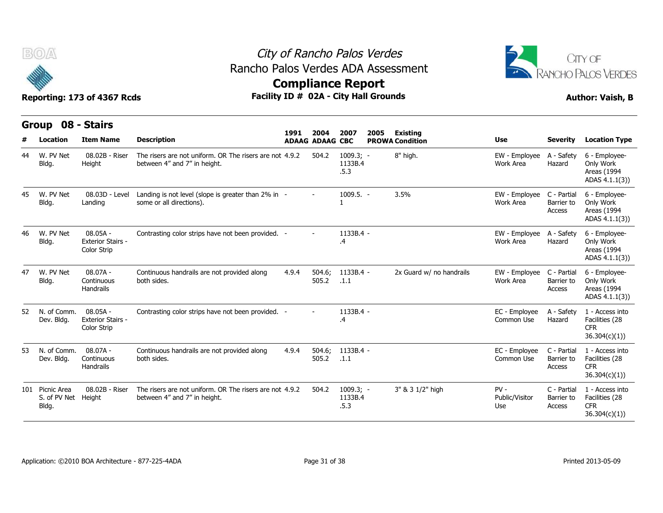



## **Compliance Report**

|     | Group                                | 08 - Stairs                                           |                                                                                         |       |                                |                                |      |                                           |                                 |                                     |                                                                  |
|-----|--------------------------------------|-------------------------------------------------------|-----------------------------------------------------------------------------------------|-------|--------------------------------|--------------------------------|------|-------------------------------------------|---------------------------------|-------------------------------------|------------------------------------------------------------------|
| #   | Location                             | <b>Item Name</b>                                      | <b>Description</b>                                                                      | 1991  | 2004<br><b>ADAAG ADAAG CBC</b> | 2007                           | 2005 | <b>Existing</b><br><b>PROWA Condition</b> | <b>Use</b>                      | <b>Severity</b>                     | <b>Location Type</b>                                             |
| 44  | W. PV Net<br>Bldg.                   | 08.02B - Riser<br>Height                              | The risers are not uniform. OR The risers are not 4.9.2<br>between 4" and 7" in height. |       | 504.2                          | $1009.3; -$<br>1133B.4<br>.5.3 |      | 8" high.                                  | EW - Employee<br>Work Area      | A - Safety<br>Hazard                | 6 - Employee-<br>Only Work<br>Areas (1994<br>ADAS 4.1.1(3))      |
| 45  | W. PV Net<br>Bldg.                   | 08.03D - Level<br>Landing                             | Landing is not level (slope is greater than 2% in -<br>some or all directions).         |       |                                | $1009.5. -$                    |      | 3.5%                                      | EW - Employee<br>Work Area      | C - Partial<br>Barrier to<br>Access | 6 - Employee-<br>Only Work<br>Areas (1994<br>ADAS 4.1.1(3))      |
| 46  | W. PV Net<br>Bldg.                   | $08.05A -$<br><b>Exterior Stairs -</b><br>Color Strip | Contrasting color strips have not been provided. -                                      |       |                                | 1133B.4 -<br>$\cdot$           |      |                                           | EW - Employee<br>Work Area      | A - Safety<br>Hazard                | 6 - Employee-<br>Only Work<br>Areas (1994<br>ADAS 4.1.1(3))      |
| 47  | W. PV Net<br>Bldg.                   | $08.07A -$<br>Continuous<br>Handrails                 | Continuous handrails are not provided along<br>both sides.                              | 4.9.4 | 504.6;<br>505.2                | 1133B.4 -<br>.1.1              |      | 2x Guard w/ no handrails                  | EW - Employee<br>Work Area      | C - Partial<br>Barrier to<br>Access | 6 - Employee-<br>Only Work<br>Areas (1994<br>ADAS 4.1.1(3))      |
| 52  | N. of Comm.<br>Dev. Bldg.            | $08.05A -$<br><b>Exterior Stairs -</b><br>Color Strip | Contrasting color strips have not been provided. -                                      |       |                                | 1133B.4 -<br>$\cdot$           |      |                                           | EC - Employee<br>Common Use     | A - Safety<br>Hazard                | 1 - Access into<br>Facilities (28<br><b>CFR</b><br>36.304(c)(1)  |
| 53  | N. of Comm.<br>Dev. Bldg.            | $08.07A -$<br>Continuous<br>Handrails                 | Continuous handrails are not provided along<br>both sides.                              | 4.9.4 | 504.6;<br>505.2                | 1133B.4 -<br>.1.1              |      |                                           | EC - Employee<br>Common Use     | C - Partial<br>Barrier to<br>Access | 1 - Access into<br>Facilities (28<br><b>CFR</b><br>36.304(c)(1)) |
| 101 | Picnic Area<br>S. of PV Net<br>Bldg. | 08.02B - Riser<br>Height                              | The risers are not uniform. OR The risers are not 4.9.2<br>between 4" and 7" in height. |       | 504.2                          | $1009.3; -$<br>1133B.4<br>.5.3 |      | 3" & 3 1/2" high                          | $PV -$<br>Public/Visitor<br>Use | C - Partial<br>Barrier to<br>Access | 1 - Access into<br>Facilities (28<br><b>CFR</b><br>36.304(c)(1)  |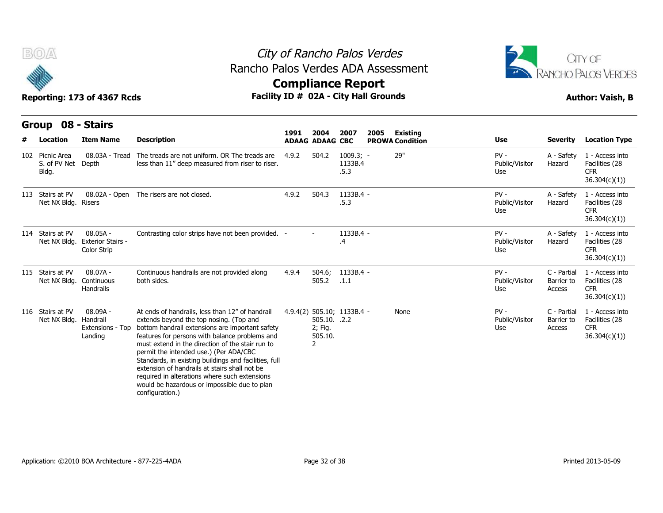



## **Compliance Report**

| B(0)                                      | Reporting: 173 of 4367 Rcds                           |                                                                                                                                                                                                                                                                                                                                                                                                                                                                                                                             | City of Rancho Palos Verdes<br>Rancho Palos Verdes ADA Assessment<br><b>Compliance Report</b><br>Facility ID # 02A - City Hall Grounds |                                         |                                |      |                                           |                                 |                                     |                                                                  |  |  |
|-------------------------------------------|-------------------------------------------------------|-----------------------------------------------------------------------------------------------------------------------------------------------------------------------------------------------------------------------------------------------------------------------------------------------------------------------------------------------------------------------------------------------------------------------------------------------------------------------------------------------------------------------------|----------------------------------------------------------------------------------------------------------------------------------------|-----------------------------------------|--------------------------------|------|-------------------------------------------|---------------------------------|-------------------------------------|------------------------------------------------------------------|--|--|
| Group<br>Location                         | 08 - Stairs<br><b>Item Name</b>                       | <b>Description</b>                                                                                                                                                                                                                                                                                                                                                                                                                                                                                                          | 1991                                                                                                                                   | 2004<br><b>ADAAG ADAAG CBC</b>          | 2007                           | 2005 | <b>Existing</b><br><b>PROWA Condition</b> | <b>Use</b>                      | <b>Severity</b>                     | <b>Location Type</b>                                             |  |  |
| 102 Picnic Area<br>S. of PV Net<br>Bldg.  | 08.03A - Tread<br>Depth                               | The treads are not uniform. OR The treads are<br>less than 11" deep measured from riser to riser.                                                                                                                                                                                                                                                                                                                                                                                                                           | 4.9.2                                                                                                                                  | 504.2                                   | $1009.3; -$<br>1133B.4<br>.5.3 |      | 29"                                       | $PV -$<br>Public/Visitor<br>Use | A - Safety<br>Hazard                | 1 - Access into<br>Facilities (28<br><b>CFR</b><br>36.304(c)(1)) |  |  |
| 113 Stairs at PV<br>Net NX Bldg. Risers   | 08.02A - Open                                         | The risers are not closed.                                                                                                                                                                                                                                                                                                                                                                                                                                                                                                  | 4.9.2                                                                                                                                  | 504.3                                   | 1133B.4 -<br>.5.3              |      |                                           | $PV -$<br>Public/Visitor<br>Use | A - Safety<br>Hazard                | 1 - Access into<br>Facilities (28<br><b>CFR</b><br>36.304(c)(1)) |  |  |
| 114 Stairs at PV<br>Net NX Bldg.          | $08.05A -$<br><b>Exterior Stairs -</b><br>Color Strip | Contrasting color strips have not been provided. -                                                                                                                                                                                                                                                                                                                                                                                                                                                                          |                                                                                                                                        |                                         | 1133B.4 -<br>.4                |      |                                           | $PV -$<br>Public/Visitor<br>Use | A - Safety<br>Hazard                | 1 - Access into<br>Facilities (28<br><b>CFR</b><br>36.304(c)(1)) |  |  |
| 115 Stairs at PV<br>Net NX Bldg.          | $08.07A -$<br>Continuous<br>Handrails                 | Continuous handrails are not provided along<br>both sides.                                                                                                                                                                                                                                                                                                                                                                                                                                                                  | 4.9.4                                                                                                                                  | 504.6;<br>505.2                         | 1133B.4 -<br>.1.1              |      |                                           | $PV -$<br>Public/Visitor<br>Use | C - Partial<br>Barrier to<br>Access | 1 - Access into<br>Facilities (28<br><b>CFR</b><br>36.304(c)(1)) |  |  |
| 116 Stairs at PV<br>Net NX Bldg. Handrail | 08.09A -<br>Extensions - Top<br>Landing               | At ends of handrails, less than 12" of handrail<br>extends beyond the top nosing. (Top and<br>bottom handrail extensions are important safety<br>features for persons with balance problems and<br>must extend in the direction of the stair run to<br>permit the intended use.) (Per ADA/CBC<br>Standards, in existing buildings and facilities, full<br>extension of handrails at stairs shall not be<br>required in alterations where such extensions<br>would be hazardous or impossible due to plan<br>configuration.) |                                                                                                                                        | 505.10. .2.2<br>2; Fig.<br>505.10.<br>2 | 4.9.4(2) 505.10; 1133B.4 -     |      | None                                      | $PV -$<br>Public/Visitor<br>Use | C - Partial<br>Barrier to<br>Access | 1 - Access into<br>Facilities (28<br><b>CFR</b><br>36.304(c)(1)  |  |  |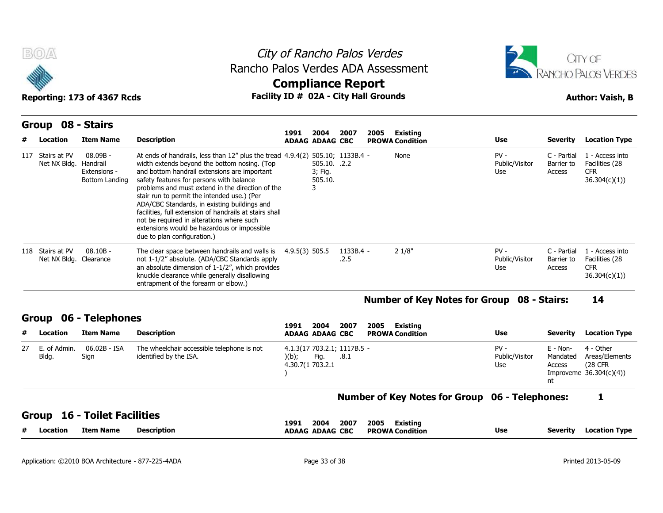



| B(0)/4 |                                  |                                                        |                                                                                                                                                                                                                                                                                                                                                                                                                                                                                                                                                                    | City of Rancho Palos Verdes<br>Rancho Palos Verdes ADA Assessment<br><b>Compliance Report</b><br>Facility ID # 02A - City Hall Grounds |                                         |                   |      |                                                       |                                 |                                        |                                                                    |  |  |
|--------|----------------------------------|--------------------------------------------------------|--------------------------------------------------------------------------------------------------------------------------------------------------------------------------------------------------------------------------------------------------------------------------------------------------------------------------------------------------------------------------------------------------------------------------------------------------------------------------------------------------------------------------------------------------------------------|----------------------------------------------------------------------------------------------------------------------------------------|-----------------------------------------|-------------------|------|-------------------------------------------------------|---------------------------------|----------------------------------------|--------------------------------------------------------------------|--|--|
|        |                                  | Reporting: 173 of 4367 Rcds                            |                                                                                                                                                                                                                                                                                                                                                                                                                                                                                                                                                                    |                                                                                                                                        |                                         |                   |      |                                                       |                                 |                                        | <b>Author: Vaish, B</b>                                            |  |  |
|        |                                  | Group 08 - Stairs                                      |                                                                                                                                                                                                                                                                                                                                                                                                                                                                                                                                                                    | 1991                                                                                                                                   | 2004                                    | 2007              | 2005 | Existing                                              |                                 |                                        |                                                                    |  |  |
|        | Location                         | <b>Item Name</b>                                       | <b>Description</b>                                                                                                                                                                                                                                                                                                                                                                                                                                                                                                                                                 |                                                                                                                                        | <b>ADAAG ADAAG CBC</b>                  |                   |      | <b>PROWA Condition</b>                                | Use                             | <b>Severity</b>                        | <b>Location Type</b>                                               |  |  |
|        | 117 Stairs at PV<br>Net NX Bldg. | 08.09B -<br>Handrail<br>Extensions -<br>Bottom Landing | At ends of handrails, less than 12" plus the tread 4.9.4(2) 505.10; 1133B.4 -<br>width extends beyond the bottom nosing. (Top<br>and bottom handrail extensions are important<br>safety features for persons with balance<br>problems and must extend in the direction of the<br>stair run to permit the intended use.) (Per<br>ADA/CBC Standards, in existing buildings and<br>facilities, full extension of handrails at stairs shall<br>not be required in alterations where such<br>extensions would be hazardous or impossible<br>due to plan configuration.) |                                                                                                                                        | 505.10. .2.2<br>3; Fig.<br>505.10.<br>3 |                   |      | None                                                  | $PV -$<br>Public/Visitor<br>Use | C - Partial<br>Barrier to<br>Access    | 1 - Access into<br>Facilities (28<br><b>CFR</b><br>36.304(c)(1)    |  |  |
|        | 118 Stairs at PV                 | $08.10B -$<br>Net NX Bldg. Clearance                   | The clear space between handrails and walls is<br>not 1-1/2" absolute. (ADA/CBC Standards apply<br>an absolute dimension of $1-1/2$ ", which provides<br>knuckle clearance while generally disallowing<br>entrapment of the forearm or elbow.)                                                                                                                                                                                                                                                                                                                     | 4.9.5(3) 505.5                                                                                                                         |                                         | 1133B.4 -<br>.2.5 |      | 21/8"                                                 | $PV -$<br>Public/Visitor<br>Use | C - Partial<br>Barrier to<br>Access    | 1 - Access into<br>Facilities (28<br><b>CFR</b><br>36.304(c)(1)    |  |  |
|        |                                  |                                                        |                                                                                                                                                                                                                                                                                                                                                                                                                                                                                                                                                                    |                                                                                                                                        |                                         |                   |      | <b>Number of Key Notes for Group 08 - Stairs:</b>     |                                 |                                        | 14                                                                 |  |  |
|        | <b>Group</b>                     | 06 - Telephones                                        |                                                                                                                                                                                                                                                                                                                                                                                                                                                                                                                                                                    |                                                                                                                                        |                                         |                   |      |                                                       |                                 |                                        |                                                                    |  |  |
|        | Location                         | <b>Item Name</b>                                       | <b>Description</b>                                                                                                                                                                                                                                                                                                                                                                                                                                                                                                                                                 | 1991                                                                                                                                   | 2004<br><b>ADAAG ADAAG CBC</b>          | 2007              | 2005 | Existing<br><b>PROWA Condition</b>                    | Use                             | <b>Severity</b>                        | <b>Location Type</b>                                               |  |  |
| 27     | E. of Admin.<br>Bldg.            | 06.02B - ISA<br>Sign                                   | The wheelchair accessible telephone is not<br>identified by the ISA.                                                                                                                                                                                                                                                                                                                                                                                                                                                                                               | )(b);<br>4.30.7(1 703.2.1                                                                                                              | 4.1.3(17 703.2.1; 1117B.5 -<br>Fig.     | .8.1              |      |                                                       | $PV -$<br>Public/Visitor<br>Use | $E - Non-$<br>Mandated<br>Access<br>nt | 4 - Other<br>Areas/Elements<br>(28 CFR)<br>Improveme 36.304(c)(4)) |  |  |
|        |                                  |                                                        |                                                                                                                                                                                                                                                                                                                                                                                                                                                                                                                                                                    |                                                                                                                                        |                                         |                   |      | <b>Number of Key Notes for Group 06 - Telephones:</b> |                                 |                                        | 1                                                                  |  |  |
|        |                                  |                                                        |                                                                                                                                                                                                                                                                                                                                                                                                                                                                                                                                                                    |                                                                                                                                        |                                         |                   |      |                                                       |                                 |                                        |                                                                    |  |  |
|        | <b>Group</b>                     | <b>16 - Toilet Facilities</b>                          |                                                                                                                                                                                                                                                                                                                                                                                                                                                                                                                                                                    | 1991                                                                                                                                   | 2004                                    | 2007              | 2005 | Existing                                              |                                 |                                        |                                                                    |  |  |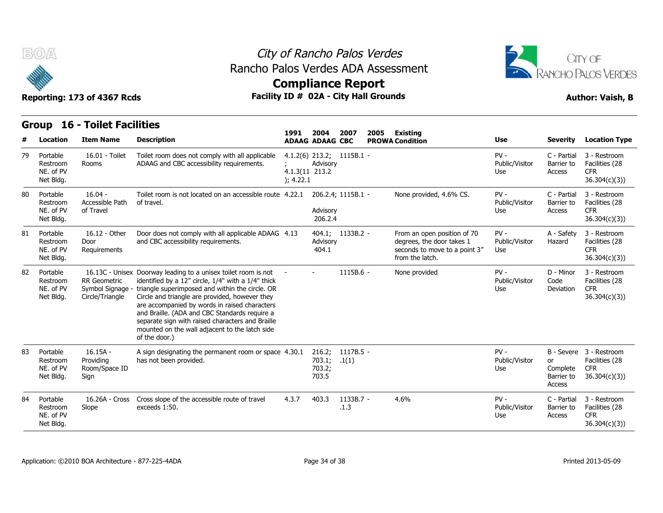



## **Compliance Report**

|    | <b>BOA</b>                                     | Reporting: 173 of 4367 Rcds                                |                                                                                                                                                                                                                                                                                                                                                                                                                                                    | City of Rancho Palos Verdes<br>Rancho Palos Verdes ADA Assessment<br><b>Compliance Report</b><br>Facility ID # 02A - City Hall Grounds |                                     |                             |      |                                                                                                              |                                 |                                        |                                                                         |  |  |  |
|----|------------------------------------------------|------------------------------------------------------------|----------------------------------------------------------------------------------------------------------------------------------------------------------------------------------------------------------------------------------------------------------------------------------------------------------------------------------------------------------------------------------------------------------------------------------------------------|----------------------------------------------------------------------------------------------------------------------------------------|-------------------------------------|-----------------------------|------|--------------------------------------------------------------------------------------------------------------|---------------------------------|----------------------------------------|-------------------------------------------------------------------------|--|--|--|
|    | <b>16 - Toilet Facilities</b><br><b>Group</b>  |                                                            |                                                                                                                                                                                                                                                                                                                                                                                                                                                    |                                                                                                                                        |                                     |                             |      |                                                                                                              |                                 |                                        |                                                                         |  |  |  |
|    | Location                                       | <b>Item Name</b>                                           | <b>Description</b>                                                                                                                                                                                                                                                                                                                                                                                                                                 | 1991                                                                                                                                   | 2004<br><b>ADAAG ADAAG CBC</b>      | 2007                        | 2005 | Existing<br><b>PROWA Condition</b>                                                                           | Use                             | <b>Severity</b>                        | <b>Location Type</b>                                                    |  |  |  |
| 79 | Portable<br>Restroom<br>NE. of PV<br>Net Bldg. | 16.01 - Toilet<br>Rooms                                    | Toilet room does not comply with all applicable<br>ADAAG and CBC accessibility requirements.                                                                                                                                                                                                                                                                                                                                                       | 4.1.3(11 213.2<br>); 4.22.1                                                                                                            | Advisory                            | $4.1.2(6)$ 213.2; 1115B.1 - |      |                                                                                                              | $PV -$<br>Public/Visitor<br>Use | C - Partial<br>Barrier to<br>Access    | 3 - Restroom<br>Facilities (28<br><b>CFR</b><br>36.304(c)(3)            |  |  |  |
| 80 | Portable<br>Restroom<br>NE. of PV<br>Net Bldg. | $16.04 -$<br>Accessible Path<br>of Travel                  | Toilet room is not located on an accessible route 4.22.1<br>of travel.                                                                                                                                                                                                                                                                                                                                                                             |                                                                                                                                        | Advisory<br>206.2.4                 | 206.2.4; 1115B.1 -          |      | None provided, 4.6% CS.                                                                                      | $PV -$<br>Public/Visitor<br>Use | C - Partial<br>Barrier to<br>Access    | 3 - Restroom<br>Facilities (28<br><b>CFR</b><br>36.304(c)(3)            |  |  |  |
| 81 | Portable<br>Restroom<br>NE. of PV<br>Net Bldg. | 16.12 - Other<br>Door<br>Requirements                      | Door does not comply with all applicable ADAAG 4.13<br>and CBC accessibility requirements.                                                                                                                                                                                                                                                                                                                                                         |                                                                                                                                        | Advisory<br>404.1                   | 404.1; 1133B.2 -            |      | From an open position of 70<br>degrees, the door takes 1<br>seconds to move to a point 3"<br>from the latch. | $PV -$<br>Public/Visitor<br>Use | A - Safety<br>Hazard                   | 3 - Restroom<br>Facilities (28<br>CFR.<br>36.304(c)(3)                  |  |  |  |
| 82 | Portable<br>Restroom<br>NE. of PV<br>Net Bldg. | <b>RR</b> Geometric<br>Symbol Signage -<br>Circle/Triangle | 16.13C - Unisex Doorway leading to a unisex toilet room is not<br>identified by a 12" circle, 1/4" with a 1/4" thick<br>triangle superimposed and within the circle. OR<br>Circle and triangle are provided, however they<br>are accompanied by words in raised characters<br>and Braille. (ADA and CBC Standards require a<br>separate sign with raised characters and Braille<br>mounted on the wall adjacent to the latch side<br>of the door.) |                                                                                                                                        |                                     | $1115B.6 -$                 |      | None provided                                                                                                | $PV -$<br>Public/Visitor<br>Use | D - Minor<br>Code<br>Deviation         | 3 - Restroom<br>Facilities (28<br><b>CFR</b><br>36.304(c)(3)            |  |  |  |
| 83 | Portable<br>Restroom<br>NE. of PV<br>Net Bldg. | $16.15A -$<br>Providina<br>Room/Space ID<br>Sign           | A sign designating the permanent room or space 4.30.1<br>has not been provided.                                                                                                                                                                                                                                                                                                                                                                    |                                                                                                                                        | 216.2;<br>703.1;<br>703.2;<br>703.5 | 1117B.5 -<br>.1(1)          |      |                                                                                                              | $PV -$<br>Public/Visitor<br>Use | or<br>Complete<br>Barrier to<br>Access | B - Severe 3 - Restroom<br>Facilities (28<br><b>CFR</b><br>36.304(c)(3) |  |  |  |
| 84 | Portable<br>Restroom<br>NE. of PV<br>Net Bldg. | 16.26A - Cross<br>Slope                                    | Cross slope of the accessible route of travel<br>exceeds 1:50.                                                                                                                                                                                                                                                                                                                                                                                     | 4.3.7                                                                                                                                  | 403.3                               | 1133B.7 -<br>.1.3           |      | 4.6%                                                                                                         | $PV -$<br>Public/Visitor<br>Use | C - Partial<br>Barrier to<br>Access    | 3 - Restroom<br>Facilities (28<br><b>CFR</b><br>36.304(c)(3)            |  |  |  |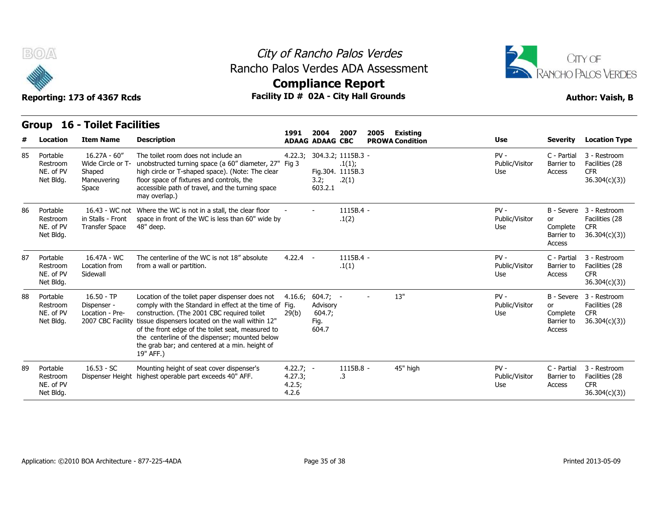



**Compliance Report**

#### **Group 16 - Toilet Facilities Item Name Description 1991 ADAAG 2004 ADAAG CBC PROWA 2007 2005 Existing # Location Condition Use Severity Location Type** 16.27A - 60" Restroom Wide Circle or T- unobstructed turning space (a 60" diameter, 27" Fig 3 Shaped Maneuvering Space accessible path of travel, and the turning space The toilet room does not include an high circle or T-shaped space). (Note: The clear floor space of fixtures and controls, the may overlap.) 4.22.3; 304.3.2; 1115B.3 Fig 3 .1(1); Fig.304. 1115B.3 3.2; .2(1) 603.2.1 - PV - (1992) Public/Visitor Barrier to Use Access C - Partial 3 - Restroom Barrier to Facilities (28 CFR 36.304(c)(3)) 85 Portable NE. of PV Net Bldg. 16.43 - WC not Where the WC is not in a stall, the clear floor in Stalls - Front NE. of PV Transfer Space 48" deep. space in front of the WC is less than 60" wide by Where the WC is not in a stall, the clear floor  $\qquad \qquad - \qquad \qquad 1115$ B.4 -<br>space in front of the WC is less than 60" wide by  $\qquad \qquad .1(2)$ <br>48" deep. .1(2) - PV - Public/Visitor or Use Complete B - Severe 3 - Restroom or Facilities (28 Barrier to 36.304(c)(3)) Access CFR 86 Portable Restroom Net Bldg. 16.47A - WC Restroom Location from from a wa Sidewall The centerline of the WC is not 18" absolute 4.22.4 from a wall or partition. 1115B.4 -.1(1) - PV - (1992) Public/Visitor Barrier to Use Access C - Partial 3 - Restroom Barrier to Facilities (28 CFR 36.304(c)(3)) 87 Portable NE. of PV Net Bldg. 16.50 - TP Restroom Dispenser - comply NE. of PV Location - Pre-2007 CBC Facility tissue dispensers located on the wall within 12" Location of the toilet paper dispenser does not comply with the Standard in effect at the time of Fig. construction. (The 2001 CBC required toilet of the front edge of the toilet seat, measured to the centerline of the dispenser; mounted below the grab bar; and centered at a min. height of 19" AFF.) 4.16.6; 604.7; Fig. Advisory 29(b) 604.7; Fig. 604.7 - - 13" PV - I Public/Visitor or Use Complete B - Severe 3 - Restroom or Facilities (28 Barrier to 36.304(c)(3)) Access CFR 88 Portable Net Bldg. 16.53 - SC Restroom Dispenser Height highest operable part exceeds 40" AFF. 4. Mounting height of seat cover dispenser's  $4.22.7$ ; -4.27.3; 4.2.5; 4.2.6 - 1115B.8 .3 45" high  $PV -$  C - Partial Public/Visitor Barrier to Use Access C - Partial 3 - Restroom Barrier to Facilities (28 CFR 36.304(c)(3)) 89 Portable NE. of PV Net Bldg.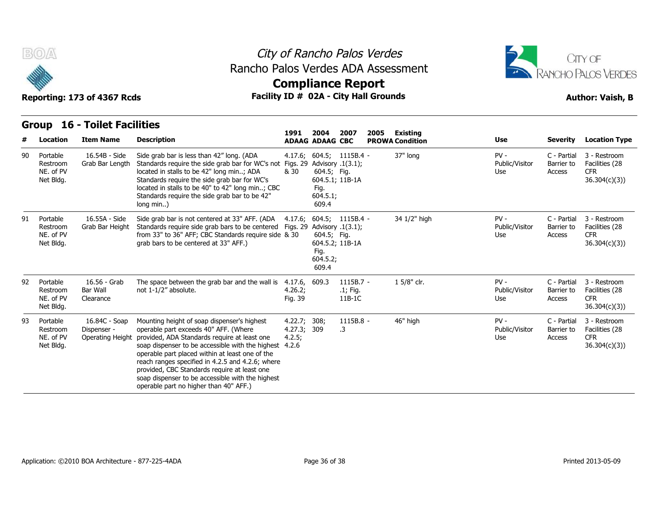



## **Compliance Report**

| <b>16 - Toilet Facilities</b><br>Group |                                                |                                                  |                                                                                                                                                                                                                                                                                                                                                                                                                                               |                                                |                                          |                                                     |      |                                    |                                 |                                     |                                                              |
|----------------------------------------|------------------------------------------------|--------------------------------------------------|-----------------------------------------------------------------------------------------------------------------------------------------------------------------------------------------------------------------------------------------------------------------------------------------------------------------------------------------------------------------------------------------------------------------------------------------------|------------------------------------------------|------------------------------------------|-----------------------------------------------------|------|------------------------------------|---------------------------------|-------------------------------------|--------------------------------------------------------------|
| #                                      | Location                                       | <b>Item Name</b>                                 | <b>Description</b>                                                                                                                                                                                                                                                                                                                                                                                                                            | 1991                                           | 2004<br><b>ADAAG ADAAG CBC</b>           | 2007                                                | 2005 | Existing<br><b>PROWA Condition</b> | <b>Use</b>                      | <b>Severity</b>                     | <b>Location Type</b>                                         |
| 90                                     | Portable<br>Restroom<br>NE. of PV<br>Net Bldg. | 16.54B - Side<br>Grab Bar Length                 | Side grab bar is less than 42" long. (ADA<br>Standards require the side grab bar for WC's not<br>located in stalls to be 42" long min; ADA<br>Standards require the side grab bar for WC's<br>located in stalls to be 40" to 42" long min; CBC<br>Standards require the side grab bar to be 42"<br>long min)                                                                                                                                  | Figs. 29 Advisory $.1(3.1)$ ;<br>& 30          | 604.5; Fig.<br>Fig.<br>604.5.1;<br>609.4 | $4.17.6$ ; $604.5$ ; $1115B.4$ -<br>604.5.1; 11B-1A |      | 37" long                           | $PV -$<br>Public/Visitor<br>Use | C - Partial<br>Barrier to<br>Access | 3 - Restroom<br>Facilities (28<br><b>CFR</b><br>36.304(c)(3) |
| 91                                     | Portable<br>Restroom<br>NE. of PV<br>Net Bldg. | 16.55A - Side<br>Grab Bar Height                 | Side grab bar is not centered at 33" AFF. (ADA<br>Standards require side grab bars to be centered<br>from 33" to 36" AFF; CBC Standards require side & 30<br>grab bars to be centered at 33" AFF.)                                                                                                                                                                                                                                            | Figs. 29 Advisory $.1(3.1)$ ;                  | 604.5; Fig.<br>Fig.<br>604.5.2;<br>609.4 | $4.17.6; 604.5; 1115B.4 -$<br>604.5.2; 11B-1A       |      | 34 1/2" high                       | $PV -$<br>Public/Visitor<br>Use | C - Partial<br>Barrier to<br>Access | 3 - Restroom<br>Facilities (28<br><b>CFR</b><br>36.304(c)(3) |
| 92                                     | Portable<br>Restroom<br>NE. of PV<br>Net Bldg. | 16.56 - Grab<br>Bar Wall<br>Clearance            | The space between the grab bar and the wall is<br>not 1-1/2" absolute.                                                                                                                                                                                                                                                                                                                                                                        | 4.17.6,<br>4.26.2;<br>Fig. 39                  | 609.3                                    | $1115B.7 -$<br>$.1$ ; Fig.<br>$11B-1C$              |      | 1 5/8" clr.                        | $PV -$<br>Public/Visitor<br>Use | C - Partial<br>Barrier to<br>Access | 3 - Restroom<br>Facilities (28<br><b>CFR</b><br>36.304(c)(3) |
| 93                                     | Portable<br>Restroom<br>NE. of PV<br>Net Bldg. | 16.84C - Soap<br>Dispenser -<br>Operating Height | Mounting height of soap dispenser's highest<br>operable part exceeds 40" AFF. (Where<br>provided, ADA Standards require at least one<br>soap dispenser to be accessible with the highest<br>operable part placed within at least one of the<br>reach ranges specified in 4.2.5 and 4.2.6; where<br>provided, CBC Standards require at least one<br>soap dispenser to be accessible with the highest<br>operable part no higher than 40" AFF.) | 4.22.7; 308;<br>4.27.3; 309<br>4.2.5;<br>4.2.6 |                                          | 1115B.8 -<br>$\cdot$ 3                              |      | 46" high                           | $PV -$<br>Public/Visitor<br>Use | C - Partial<br>Barrier to<br>Access | 3 - Restroom<br>Facilities (28<br><b>CFR</b><br>36.304(c)(3) |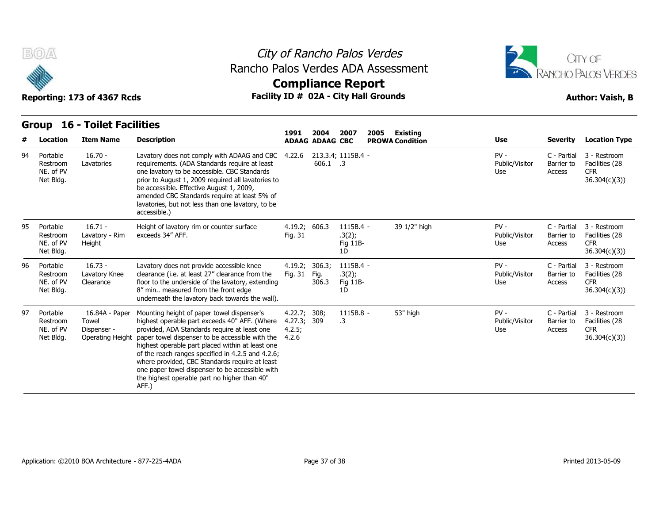



Reporting: 173 of 4367 Rcds **Facility ID # 02A - City Hall Grounds Author: Vaish, B Compliance Report**

#### **Group 16 - Toilet Facilities Item Name Description 1991 ADAAG 2004 ADAAG CBC PROWA 2007 2005 Existing # Location Condition Use Severity Location Type** 16.70 - Lavatories requirements. (ADA Standards require at least Lavatory does not comply with ADAAG and CBC 4.22.6 one lavatory to be accessible. CBC Standards prior to August 1, 2009 required all lavatories to be accessible. Effective August 1, 2009, amended CBC Standards require at least 5% of lavatories, but not less than one lavatory, to be accessible.) 4.22.6 213.3.4; 1115B.4 606.1 .3 - PV - (1992) Public/Visitor Barrier to Use Access C - Partial 3 - Restroom Barrier to Facilities (28 CFR 36.304(c)(3)) 94 Portable Restroom Lavatories NE. of PV Net Bldg. 16.71 - Lavatory - Rim Height Height of lavatory rim or counter surface exceeds 34" AFF. 4.19.2; 606.3 1115B.4 -Fig. 31 606.3 1115B.4 - 39 1/2" high PV -  $.3(2);$ Fig 11B-1D Public/Visitor Barrier to Use Access C - Partial 3 - Restroom Barrier to Facilities (28 CFR 36.304(c)(3)) 95 Portable Restroom NE. of PV Net Bldg. 16.73 - Lavatory Knee Restroom Clearance floor to the underside of the lavatory, extending Lavatory does not provide accessible knee clearance (i.e. at least 27" clearance from the 8" min.. measured from the front edge underneath the lavatory back towards the wall).  $4.19.2$ ;  $306.3$ ; Fig. 31 306.3; 1115B.4 Fig. .3(2); 306.3 Fig 11B-1D - PV - 2002 - 2003 - 2004 - 2005 - 2006 - 2007 - 2008 - 2008 - 2008 - 2008 - 2008 - 2008 - 2008 - 2008 - 2008 -Public/Visitor Barrier to Use Access C - Partial 3 - Restroom Barrier to Facilities (28 CFR 36.304(c)(3)) 96 Portable NE. of PV Net Bldg. 16.84A - Paper Mounting height of paper towel dispenser's Towel NE. of PV Dispenser - provide Operating Height paper towel dispenser to be accessible with the 4.2.6 highest operable part exceeds 40" AFF. (Where provided, ADA Standards require at least one highest operable part placed within at least one of the reach ranges specified in 4.2.5 and 4.2.6; where provided, CBC Standards require at least one paper towel dispenser to be accessible with the highest operable part no higher than 40" AFF.) 4.22.7; 4.27.3; 309 4.2.5; 308; 1115B.8 .3 53" high  $PV -$  C - Partial Public/Visitor Barrier to Use Access C - Partial 3 - Restroom Barrier to Facilities (28 CFR 36.304(c)(3)) 97 Portable Restroom<br>NE. of PV Net Bldg.